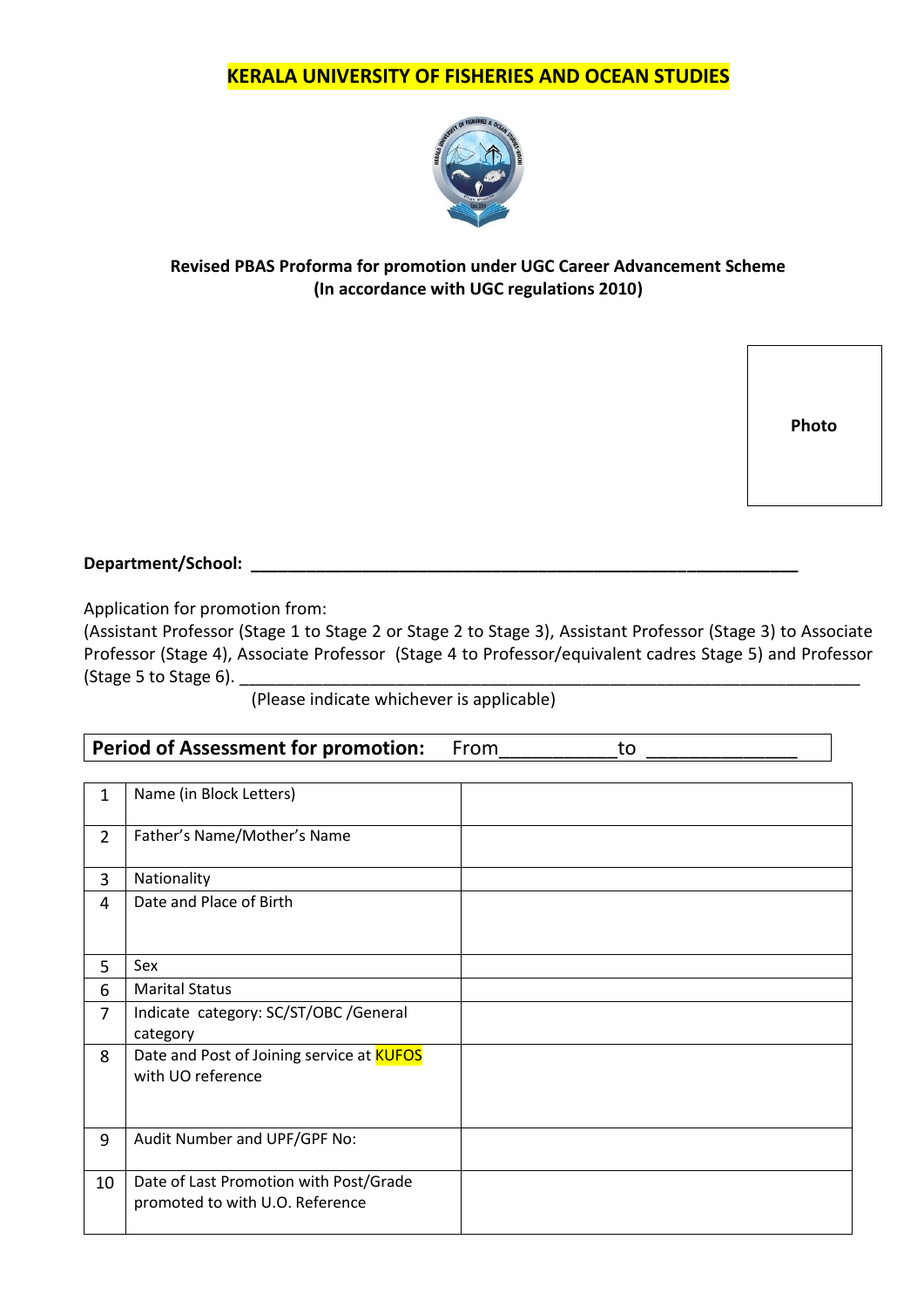

## **Revised PBAS Proforma for promotion under UGC Career Advancement Scheme (In accordance with UGC regulations 2010)**

**Photo**

**Department/School: \_\_\_\_\_\_\_\_\_\_\_\_\_\_\_\_\_\_\_\_\_\_\_\_\_\_\_\_\_\_\_\_\_\_\_\_\_\_\_\_\_\_\_\_\_\_\_\_\_\_\_\_\_\_\_\_\_\_\_**

Application for promotion from:

(Assistant Professor (Stage 1 to Stage 2 or Stage 2 to Stage 3), Assistant Professor (Stage 3) to Associate Professor (Stage 4), Associate Professor (Stage 4 to Professor/equivalent cadres Stage 5) and Professor (Stage 5 to Stage 6).

(Please indicate whichever is applicable)

Period of Assessment for promotion: From\_\_\_\_\_\_\_\_\_\_to

| $\mathbf{1}$   | Name (in Block Letters)                                                   |  |
|----------------|---------------------------------------------------------------------------|--|
| $2^{\circ}$    | Father's Name/Mother's Name                                               |  |
| 3              | Nationality                                                               |  |
| 4              | Date and Place of Birth                                                   |  |
| 5              | Sex                                                                       |  |
| 6              | <b>Marital Status</b>                                                     |  |
| $\overline{7}$ | Indicate category: SC/ST/OBC /General<br>category                         |  |
| 8              | Date and Post of Joining service at <b>KUFOS</b><br>with UO reference     |  |
| 9              | Audit Number and UPF/GPF No:                                              |  |
| 10             | Date of Last Promotion with Post/Grade<br>promoted to with U.O. Reference |  |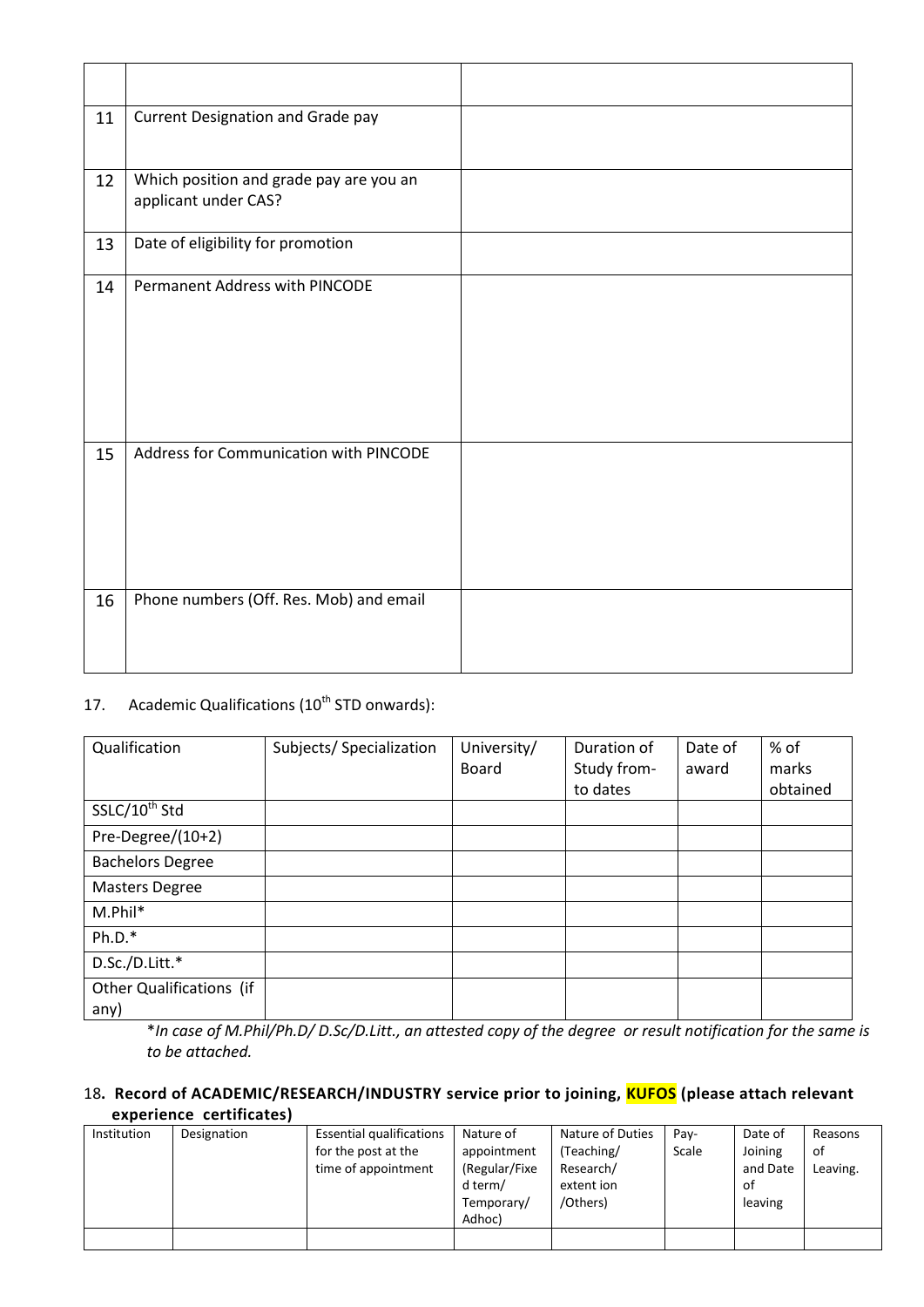| 11 | Current Designation and Grade pay                               |  |
|----|-----------------------------------------------------------------|--|
| 12 | Which position and grade pay are you an<br>applicant under CAS? |  |
| 13 | Date of eligibility for promotion                               |  |
| 14 | Permanent Address with PINCODE                                  |  |
| 15 | Address for Communication with PINCODE                          |  |
| 16 | Phone numbers (Off. Res. Mob) and email                         |  |

## 17. Academic Qualifications (10<sup>th</sup> STD onwards):

| Qualification                    | Subjects/ Specialization | University/<br><b>Board</b> | Duration of<br>Study from- | Date of<br>award | % of<br>marks |
|----------------------------------|--------------------------|-----------------------------|----------------------------|------------------|---------------|
|                                  |                          |                             | to dates                   |                  | obtained      |
| SSLC/10 <sup>th</sup> Std        |                          |                             |                            |                  |               |
| Pre-Degree/(10+2)                |                          |                             |                            |                  |               |
| <b>Bachelors Degree</b>          |                          |                             |                            |                  |               |
| <b>Masters Degree</b>            |                          |                             |                            |                  |               |
| M.Phil*                          |                          |                             |                            |                  |               |
| $Ph.D.*$                         |                          |                             |                            |                  |               |
| D.Sc./D.Litt.*                   |                          |                             |                            |                  |               |
| Other Qualifications (if<br>any) |                          |                             |                            |                  |               |

\**In case of M.Phil/Ph.D/ D.Sc/D.Litt., an attested copy of the degree or result notification for the same is to be attached.*

## 18**. Record of ACADEMIC/RESEARCH/INDUSTRY service prior to joining, KUFOS (please attach relevant experience certificates)**

| Institution | Designation | <b>Essential qualifications</b> | Nature of     | Nature of Duties | Pay-  | Date of  | Reasons  |
|-------------|-------------|---------------------------------|---------------|------------------|-------|----------|----------|
|             |             | for the post at the             | appointment   | (Teaching/       | Scale | Joining  | οf       |
|             |             | time of appointment             | (Regular/Fixe | Research/        |       | and Date | Leaving. |
|             |             |                                 | d term/       | extent ion       |       | 0f       |          |
|             |             |                                 | Temporary/    | /Others)         |       | leaving  |          |
|             |             |                                 | Adhoc)        |                  |       |          |          |
|             |             |                                 |               |                  |       |          |          |
|             |             |                                 |               |                  |       |          |          |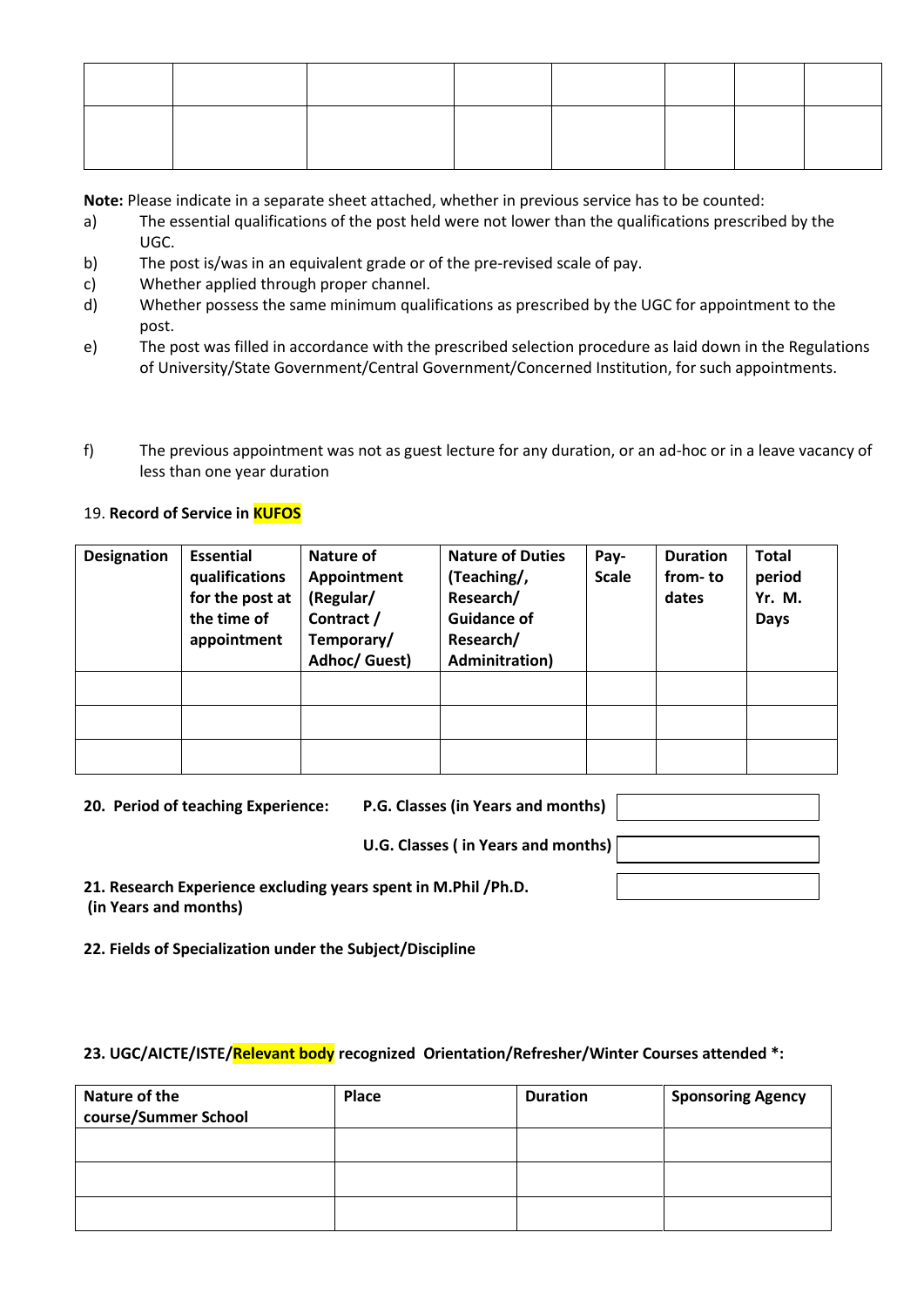**Note:** Please indicate in a separate sheet attached, whether in previous service has to be counted:

- a) The essential qualifications of the post held were not lower than the qualifications prescribed by the UGC.
- b) The post is/was in an equivalent grade or of the pre-revised scale of pay.
- c) Whether applied through proper channel.
- d) Whether possess the same minimum qualifications as prescribed by the UGC for appointment to the post.
- e) The post was filled in accordance with the prescribed selection procedure as laid down in the Regulations of University/State Government/Central Government/Concerned Institution, for such appointments.
- f) The previous appointment was not as guest lecture for any duration, or an ad-hoc or in a leave vacancy of less than one year duration

## 19. **Record of Service in KUFOS**

| <b>Designation</b> | <b>Essential</b><br>qualifications<br>for the post at<br>the time of<br>appointment | Nature of<br>Appointment<br>(Regular/<br>Contract /<br>Temporary/<br>Adhoc/ Guest) | <b>Nature of Duties</b><br>(Teaching/,<br>Research/<br><b>Guidance of</b><br>Research/<br><b>Adminitration</b> ) | Pay-<br><b>Scale</b> | <b>Duration</b><br>from-to<br>dates | <b>Total</b><br>period<br>Yr. M.<br><b>Days</b> |
|--------------------|-------------------------------------------------------------------------------------|------------------------------------------------------------------------------------|------------------------------------------------------------------------------------------------------------------|----------------------|-------------------------------------|-------------------------------------------------|
|                    |                                                                                     |                                                                                    |                                                                                                                  |                      |                                     |                                                 |
|                    |                                                                                     |                                                                                    |                                                                                                                  |                      |                                     |                                                 |
|                    |                                                                                     |                                                                                    |                                                                                                                  |                      |                                     |                                                 |

| 20. Period of teaching Experience:                                                      | P.G. Classes (in Years and months) |  |
|-----------------------------------------------------------------------------------------|------------------------------------|--|
|                                                                                         | U.G. Classes (in Years and months) |  |
| 21. Research Experience excluding years spent in M.Phil /Ph.D.<br>(in Years and months) |                                    |  |

**22. Fields of Specialization under the Subject/Discipline**

### **23. UGC/AICTE/ISTE/Relevant body recognized Orientation/Refresher/Winter Courses attended \*:**

| Nature of the<br>course/Summer School | Place | <b>Duration</b> | <b>Sponsoring Agency</b> |
|---------------------------------------|-------|-----------------|--------------------------|
|                                       |       |                 |                          |
|                                       |       |                 |                          |
|                                       |       |                 |                          |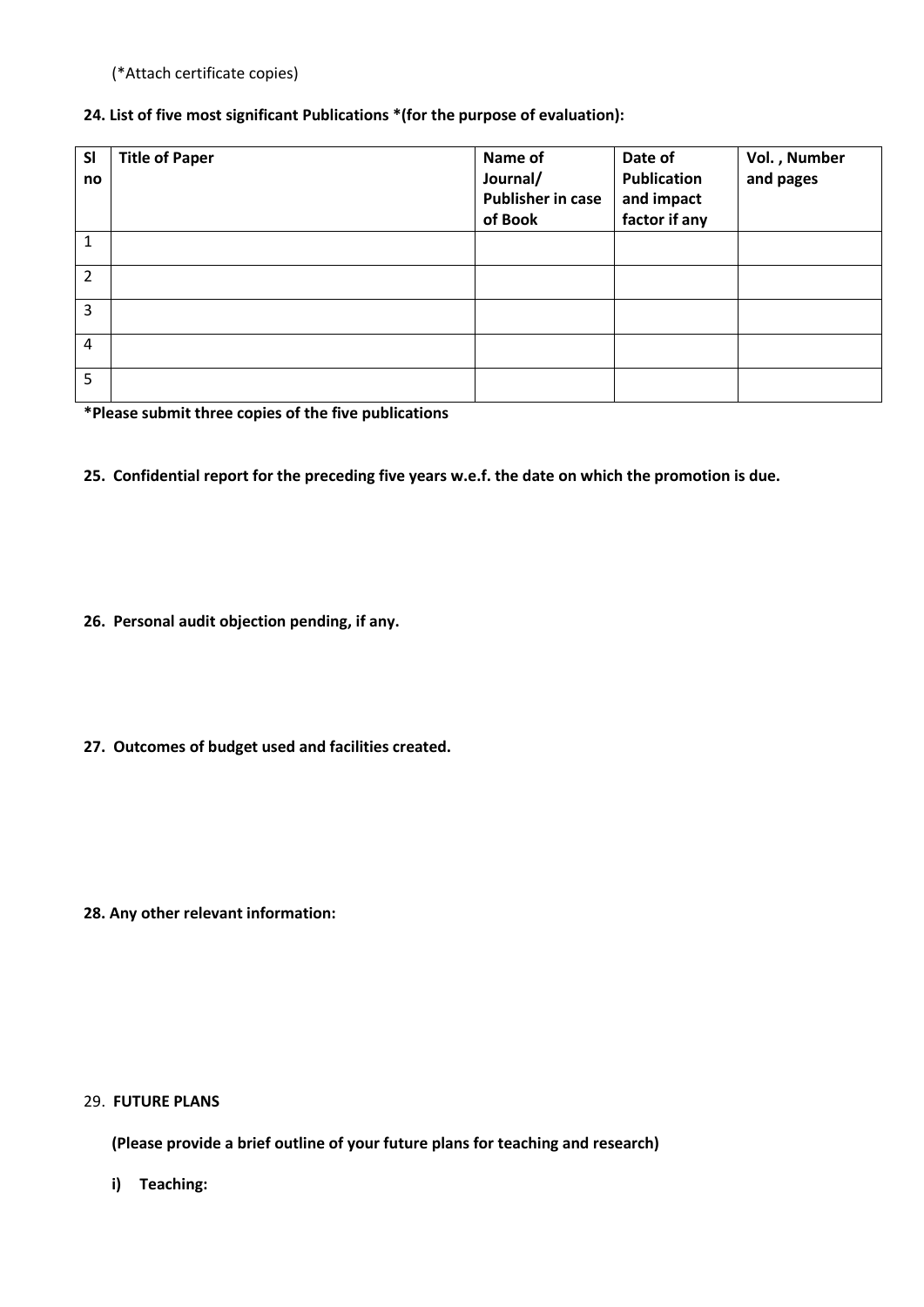(\*Attach certificate copies)

## **24. List of five most significant Publications \*(for the purpose of evaluation):**

| <b>SI</b><br>no | <b>Title of Paper</b> | Name of<br>Journal/<br><b>Publisher in case</b><br>of Book | Date of<br><b>Publication</b><br>and impact<br>factor if any | Vol., Number<br>and pages |
|-----------------|-----------------------|------------------------------------------------------------|--------------------------------------------------------------|---------------------------|
| $\mathbf{1}$    |                       |                                                            |                                                              |                           |
| $\overline{2}$  |                       |                                                            |                                                              |                           |
| 3               |                       |                                                            |                                                              |                           |
| $\overline{4}$  |                       |                                                            |                                                              |                           |
| 5               |                       |                                                            |                                                              |                           |

**\*Please submit three copies of the five publications**

**25. Confidential report for the preceding five years w.e.f. the date on which the promotion is due.**

- **26. Personal audit objection pending, if any.**
- **27. Outcomes of budget used and facilities created.**

**28. Any other relevant information:**

### 29. **FUTURE PLANS**

**(Please provide a brief outline of your future plans for teaching and research)**

**i) Teaching:**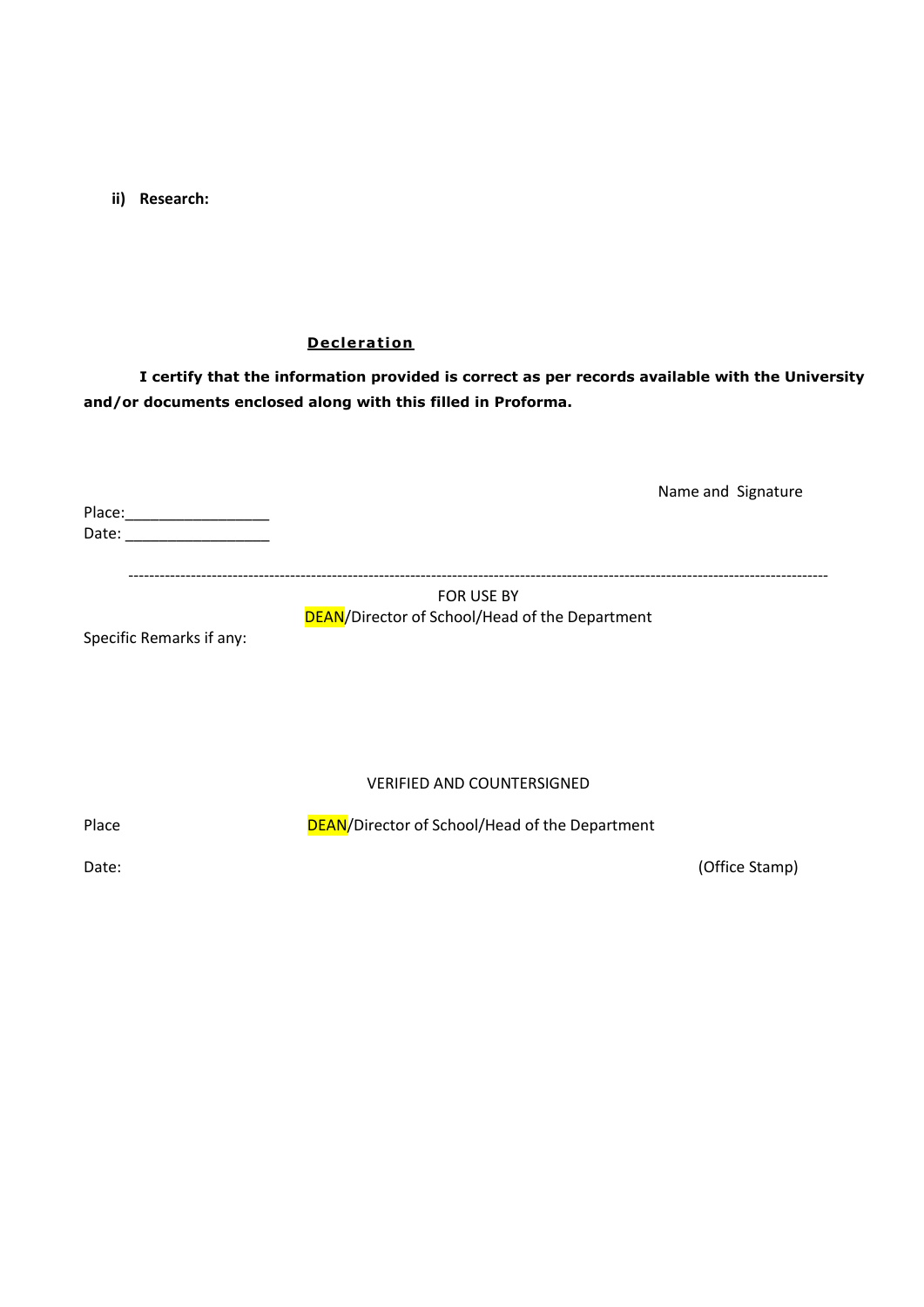**ii) Research:**

#### **Decleration**

**I certify that the information provided is correct as per records available with the University and/or documents enclosed along with this filled in Proforma.**

Place:\_\_\_\_\_\_\_\_\_\_\_\_\_\_\_\_\_ Date: \_\_\_\_\_\_\_\_\_\_\_\_\_\_\_\_\_

Name and Signature

--------------------------------------------------------------------------------------------------------------------------------------

## FOR USE BY DEAN/Director of School/Head of the Department

Specific Remarks if any:

VERIFIED AND COUNTERSIGNED

Place DEAN/Director of School/Head of the Department

Date: (Office Stamp)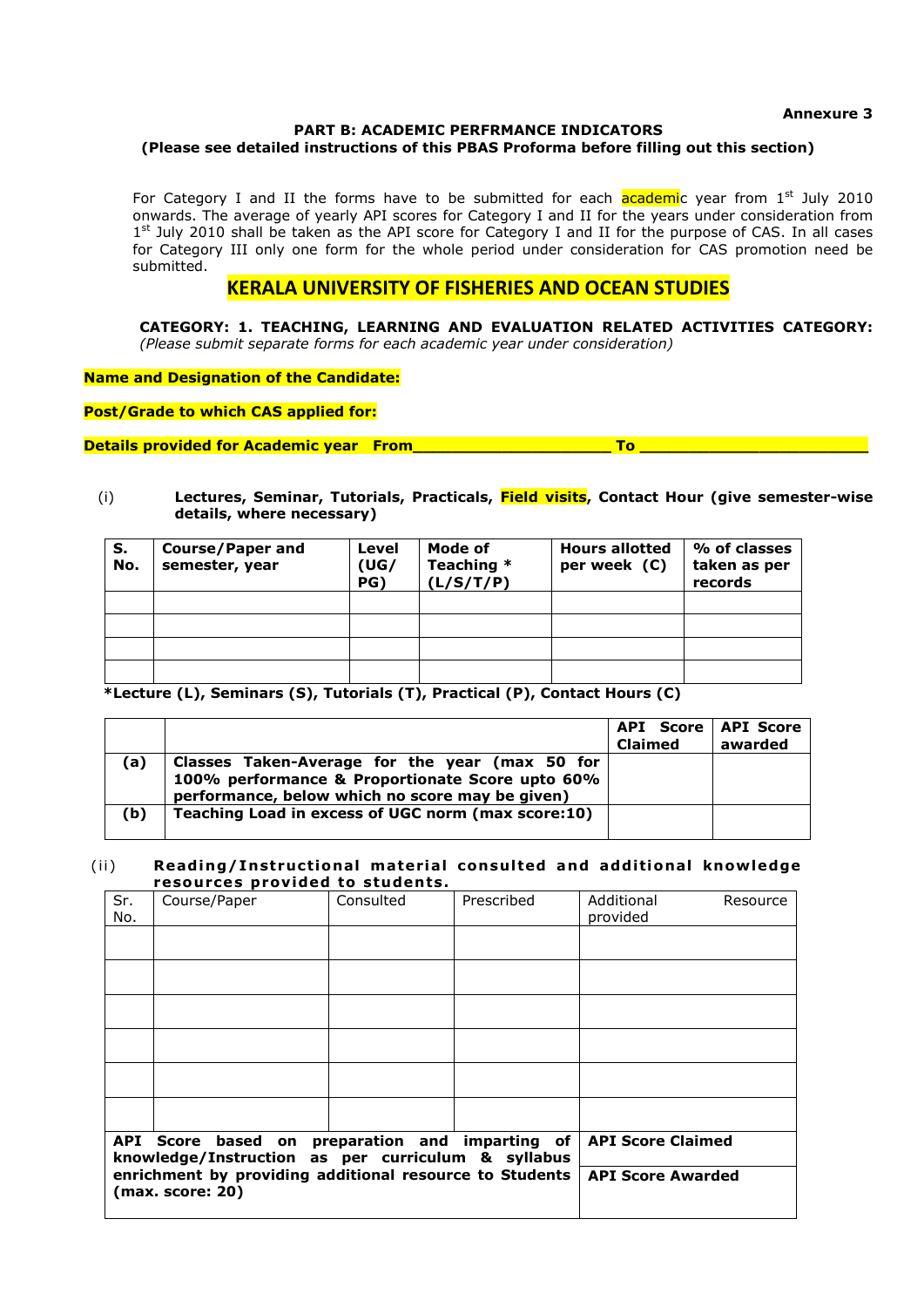**Annexure 3**

#### **PART B: ACADEMIC PERFRMANCE INDICATORS (Please see detailed instructions of this PBAS Proforma before filling out this section)**

For Category I and II the forms have to be submitted for each  $\alpha$  academic year from  $1^{st}$  July 2010 onwards. The average of yearly API scores for Category I and II for the years under consideration from 1<sup>st</sup> July 2010 shall be taken as the API score for Category I and II for the purpose of CAS. In all cases for Category III only one form for the whole period under consideration for CAS promotion need be submitted.

## **KERALA UNIVERSITY OF FISHERIES AND OCEAN STUDIES**

**CATEGORY: 1. TEACHING, LEARNING AND EVALUATION RELATED ACTIVITIES CATEGORY:**  *(Please submit separate forms for each academic year under consideration)*

**Name and Designation of the Candidate:**

**Post/Grade to which CAS applied for:**

**Details provided for Academic year From** 

#### (i) **Lectures, Seminar, Tutorials, Practicals, Field visits, Contact Hour (give semester-wise details, where necessary)**

| S.<br>No. | Course/Paper and<br>semester, year | Level<br>(UG/<br>PG) | Mode of<br>Teaching *<br>(L/S/T/P) | <b>Hours allotted</b><br>per week (C) | % of classes<br>taken as per<br>records |
|-----------|------------------------------------|----------------------|------------------------------------|---------------------------------------|-----------------------------------------|
|           |                                    |                      |                                    |                                       |                                         |
|           |                                    |                      |                                    |                                       |                                         |
|           |                                    |                      |                                    |                                       |                                         |
|           |                                    |                      |                                    |                                       |                                         |

 **\*Lecture (L), Seminars (S), Tutorials (T), Practical (P), Contact Hours (C)**

|     |                                                                                                                                                      | <b>API Score   API Score</b><br><b>Claimed</b> | awarded |
|-----|------------------------------------------------------------------------------------------------------------------------------------------------------|------------------------------------------------|---------|
| (a) | Classes Taken-Average for the year (max 50 for<br>100% performance & Proportionate Score upto 60%<br>performance, below which no score may be given) |                                                |         |
| (b) | Teaching Load in excess of UGC norm (max score:10)                                                                                                   |                                                |         |

#### (ii) **Reading/Instructional material consulted and additional knowledge** resources provided to students.

| Sr.<br>No. | Course/Paper                                                                                          | Consulted                | Prescribed | Additional<br>Resource<br>provided |
|------------|-------------------------------------------------------------------------------------------------------|--------------------------|------------|------------------------------------|
|            |                                                                                                       |                          |            |                                    |
|            |                                                                                                       |                          |            |                                    |
|            |                                                                                                       |                          |            |                                    |
|            |                                                                                                       |                          |            |                                    |
|            |                                                                                                       |                          |            |                                    |
|            |                                                                                                       |                          |            |                                    |
|            | API Score based on preparation and imparting of<br>knowledge/Instruction as per curriculum & syllabus | <b>API Score Claimed</b> |            |                                    |
|            | enrichment by providing additional resource to Students<br>(max. score: 20)                           | <b>API Score Awarded</b> |            |                                    |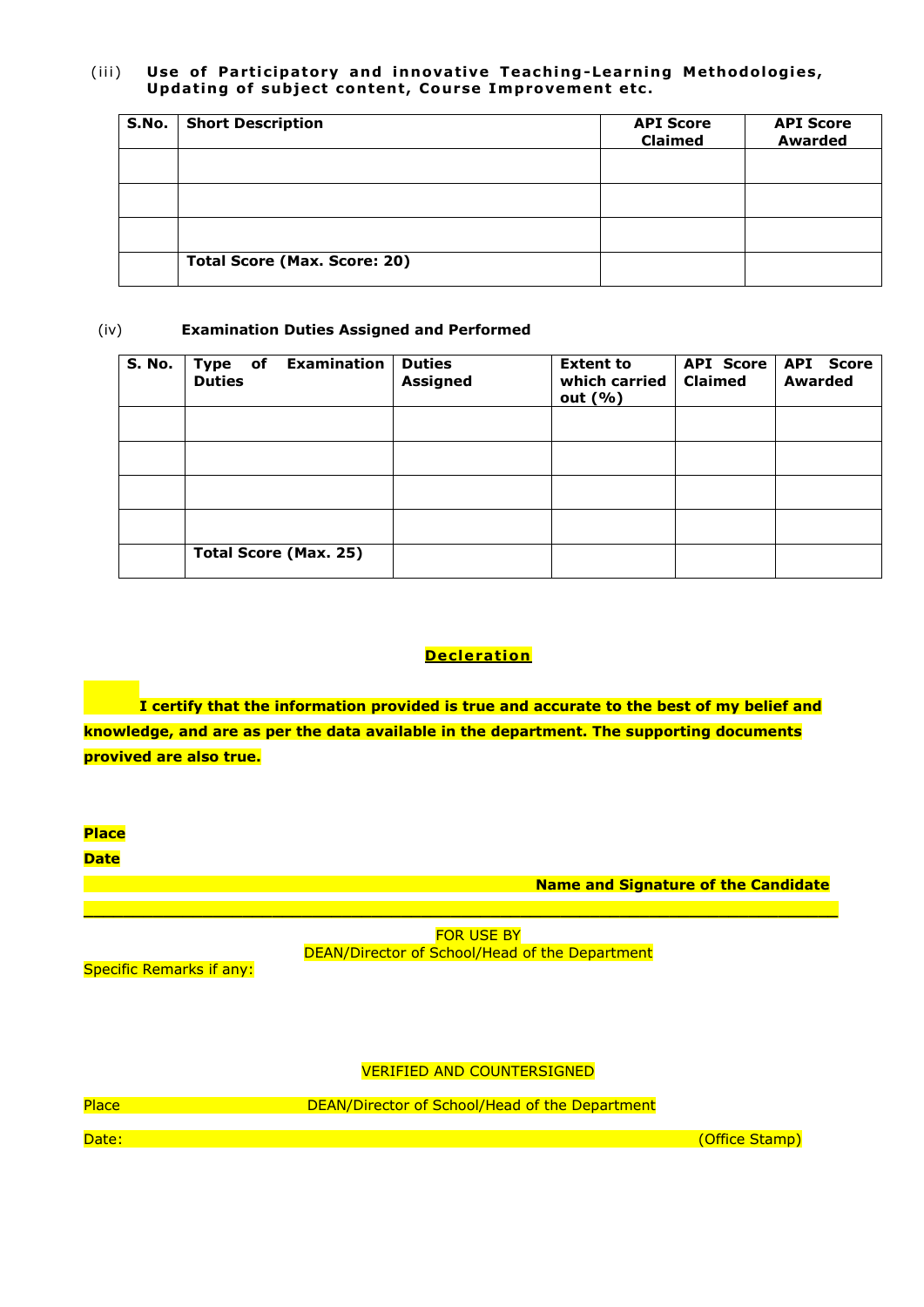#### (iii) Use of Participatory and innovative Teaching-Learning Methodologies, Updating of subject content, Course Improvement etc.

| S.No. | <b>Short Description</b>            | <b>API Score</b><br><b>Claimed</b> | <b>API Score</b><br><b>Awarded</b> |
|-------|-------------------------------------|------------------------------------|------------------------------------|
|       |                                     |                                    |                                    |
|       |                                     |                                    |                                    |
|       |                                     |                                    |                                    |
|       | <b>Total Score (Max. Score: 20)</b> |                                    |                                    |

#### (iv) **Examination Duties Assigned and Performed**

| S. No. | <b>Examination</b><br>$ $ Type of<br><b>Duties</b> | <b>Duties</b><br><b>Assigned</b> | <b>Extent to</b><br>which carried<br>out $(% )$ | <b>Claimed</b> | API Score   API Score<br><b>Awarded</b> |
|--------|----------------------------------------------------|----------------------------------|-------------------------------------------------|----------------|-----------------------------------------|
|        |                                                    |                                  |                                                 |                |                                         |
|        |                                                    |                                  |                                                 |                |                                         |
|        |                                                    |                                  |                                                 |                |                                         |
|        |                                                    |                                  |                                                 |                |                                         |
|        | <b>Total Score (Max. 25)</b>                       |                                  |                                                 |                |                                         |

## **Decleration**

**I certify that the information provided is true and accurate to the best of my belief and knowledge, and are as per the data available in the department. The supporting documents provived are also true.**



DEAN/Director of School/Head of the Department

Specific Remarks if any:

## VERIFIED AND COUNTERSIGNED

| Place | DEAN/Director of School/Head of the Department |                |
|-------|------------------------------------------------|----------------|
| Date: |                                                | (Office Stamp) |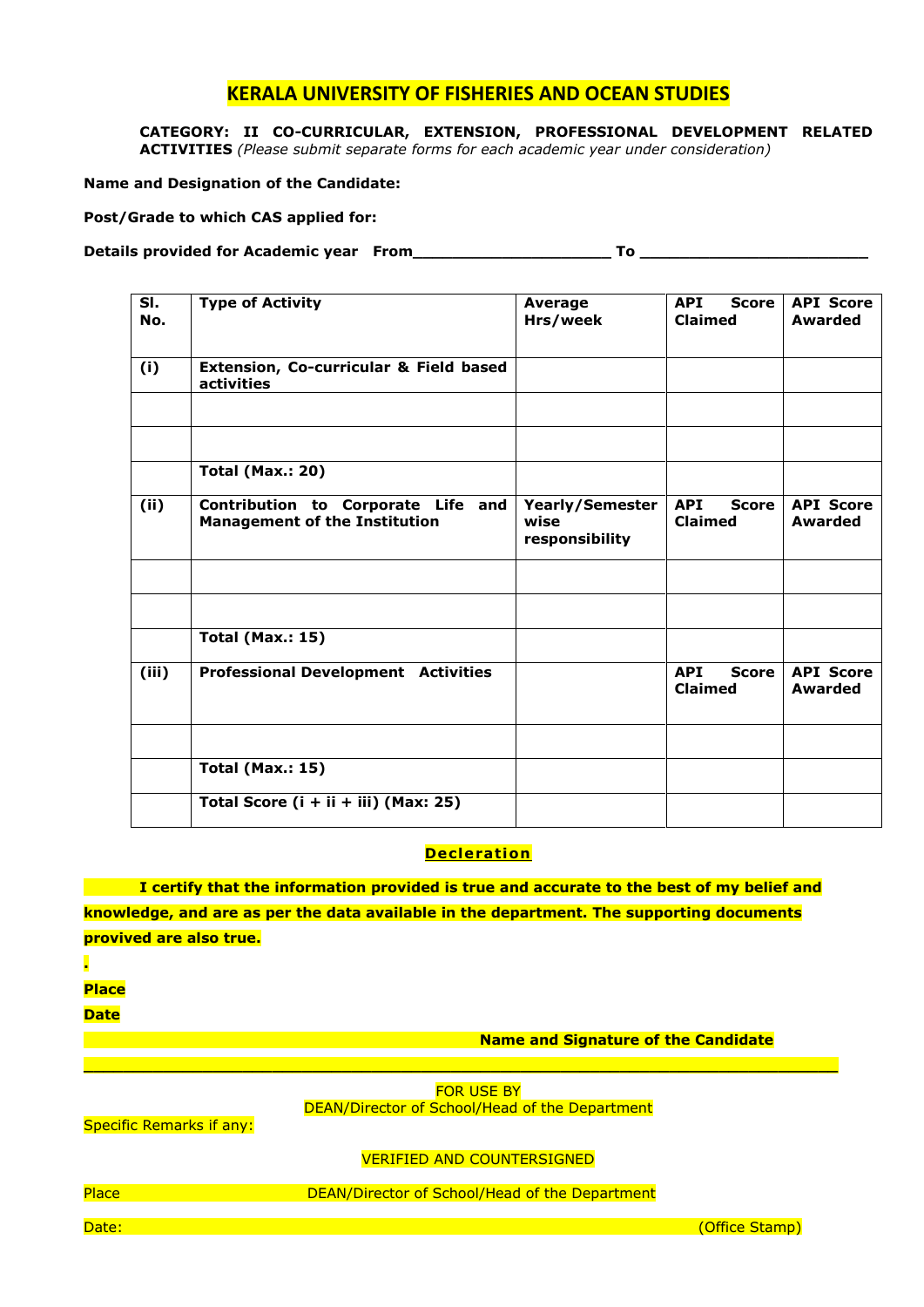**CATEGORY: II CO-CURRICULAR, EXTENSION, PROFESSIONAL DEVELOPMENT RELATED ACTIVITIES** *(Please submit separate forms for each academic year under consideration)*

#### **Name and Designation of the Candidate:**

**Post/Grade to which CAS applied for:**

Details provided for Academic year From **with a set of the Community Community** To **Example 20** 

| SI.<br>No. | <b>Type of Activity</b>                                                    | Average<br>Hrs/week                              | <b>API</b><br>Score<br><b>Claimed</b> | <b>API Score</b><br>Awarded        |
|------------|----------------------------------------------------------------------------|--------------------------------------------------|---------------------------------------|------------------------------------|
| (i)        | Extension, Co-curricular & Field based<br>activities                       |                                                  |                                       |                                    |
|            |                                                                            |                                                  |                                       |                                    |
|            | <b>Total (Max.: 20)</b>                                                    |                                                  |                                       |                                    |
|            |                                                                            |                                                  |                                       |                                    |
| (ii)       | Contribution to Corporate Life and<br><b>Management of the Institution</b> | <b>Yearly/Semester</b><br>wise<br>responsibility | <b>API</b><br>Score<br><b>Claimed</b> | <b>API Score</b><br><b>Awarded</b> |
|            |                                                                            |                                                  |                                       |                                    |
|            |                                                                            |                                                  |                                       |                                    |
|            | <b>Total (Max.: 15)</b>                                                    |                                                  |                                       |                                    |
| (iii)      | <b>Professional Development Activities</b>                                 |                                                  | <b>API</b><br>Score<br><b>Claimed</b> | <b>API Score</b><br>Awarded        |
|            |                                                                            |                                                  |                                       |                                    |
|            | <b>Total (Max.: 15)</b>                                                    |                                                  |                                       |                                    |
|            | Total Score (i + ii + iii) (Max: 25)                                       |                                                  |                                       |                                    |

### **Decleration**

**I certify that the information provided is true and accurate to the best of my belief and knowledge, and are as per the data available in the department. The supporting documents provived are also true.**

**.** 

**Place**

**Date**

**Name and Signature of the Candidate**

**FOR USE BY** DEAN/Director of School/Head of the Department

**\_\_\_\_\_\_\_\_\_\_\_\_\_\_\_\_\_\_\_\_\_\_\_\_\_\_\_\_\_\_\_\_\_\_\_\_\_\_\_\_\_\_\_\_\_\_\_\_\_\_\_\_\_\_\_\_\_\_\_\_\_\_\_\_\_\_\_\_\_\_\_\_\_\_\_\_**

Specific Remarks if any:

#### VERIFIED AND COUNTERSIGNED

Place **DEAN/Director of School/Head of the Department** 

Date: (Office Stamp)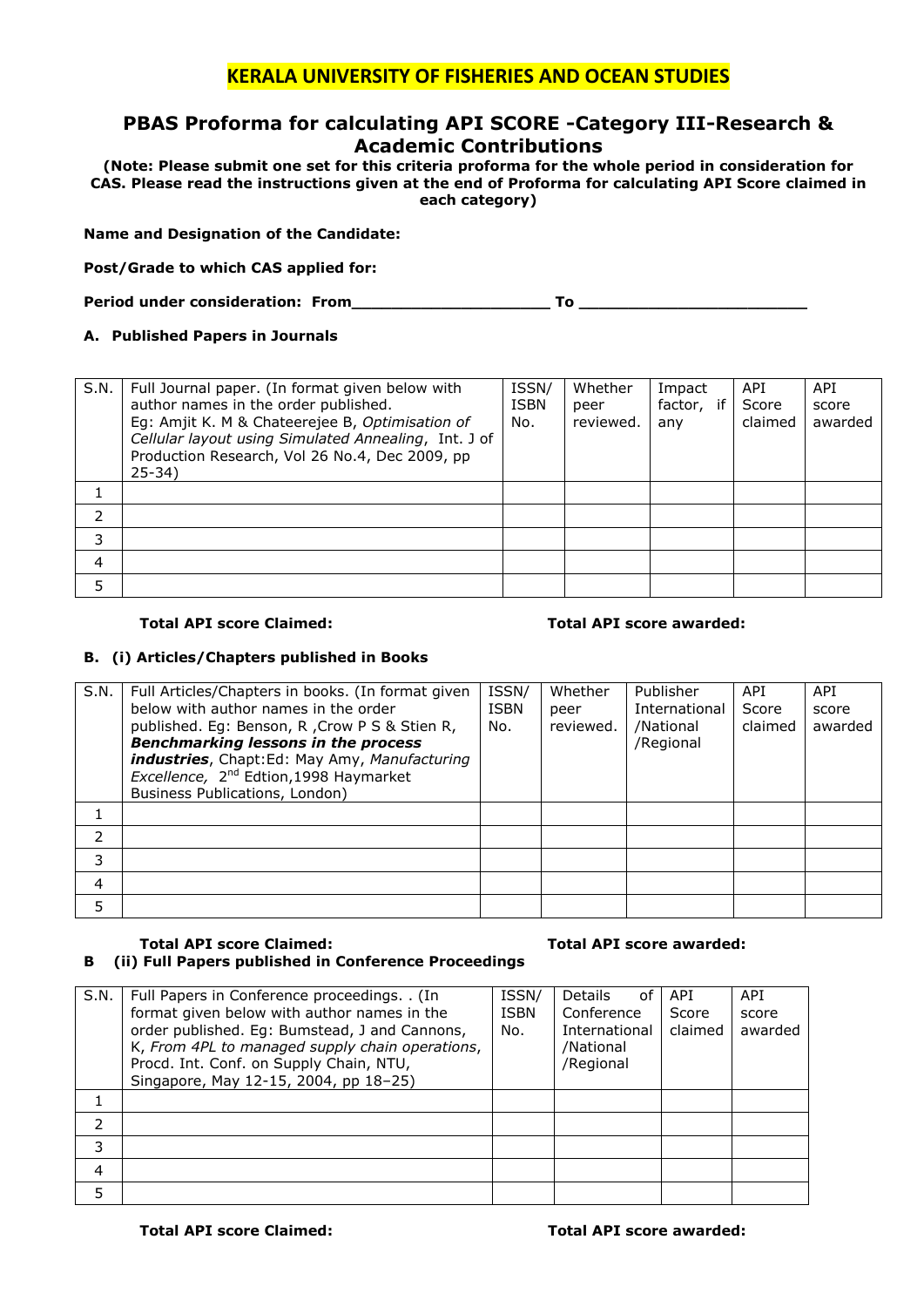## **PBAS Proforma for calculating API SCORE -Category III-Research & Academic Contributions**

**(Note: Please submit one set for this criteria proforma for the whole period in consideration for CAS. Please read the instructions given at the end of Proforma for calculating API Score claimed in each category)**

#### **Name and Designation of the Candidate:**

**Post/Grade to which CAS applied for:**

**Period under consideration: From\_\_\_\_\_\_\_\_\_\_\_\_\_\_\_\_\_\_\_\_ To \_\_\_\_\_\_\_\_\_\_\_\_\_\_\_\_\_\_\_\_\_\_\_**

#### **A. Published Papers in Journals**

| S.N. | Full Journal paper. (In format given below with<br>author names in the order published.<br>Eg: Amjit K. M & Chateerejee B, Optimisation of<br>Cellular layout using Simulated Annealing, Int. J of<br>Production Research, Vol 26 No.4, Dec 2009, pp<br>$25 - 34$ | ISSN/<br>ISBN<br>No. | Whether<br>peer<br>reviewed. | Impact<br>factor, if<br>any | API.<br>Score<br>claimed | <b>API</b><br>score<br>awarded |
|------|-------------------------------------------------------------------------------------------------------------------------------------------------------------------------------------------------------------------------------------------------------------------|----------------------|------------------------------|-----------------------------|--------------------------|--------------------------------|
|      |                                                                                                                                                                                                                                                                   |                      |                              |                             |                          |                                |
| 2    |                                                                                                                                                                                                                                                                   |                      |                              |                             |                          |                                |
| 3    |                                                                                                                                                                                                                                                                   |                      |                              |                             |                          |                                |
| 4    |                                                                                                                                                                                                                                                                   |                      |                              |                             |                          |                                |
| 5    |                                                                                                                                                                                                                                                                   |                      |                              |                             |                          |                                |

#### **Total API score Claimed: Total API score awarded:**

#### **B. (i) Articles/Chapters published in Books**

| S.N. | Full Articles/Chapters in books. (In format given<br>below with author names in the order<br>published. Eq: Benson, R, Crow P S & Stien R,<br><b>Benchmarking lessons in the process</b><br>industries, Chapt:Ed: May Amy, Manufacturing<br>Excellence, 2 <sup>nd</sup> Edtion, 1998 Haymarket<br>Business Publications, London) | ISSN/<br><b>ISBN</b><br>No. | Whether<br>peer<br>reviewed. | Publisher<br>International<br>/National<br>/Regional | API<br>Score<br>claimed | API<br>score<br>awarded |
|------|----------------------------------------------------------------------------------------------------------------------------------------------------------------------------------------------------------------------------------------------------------------------------------------------------------------------------------|-----------------------------|------------------------------|------------------------------------------------------|-------------------------|-------------------------|
|      |                                                                                                                                                                                                                                                                                                                                  |                             |                              |                                                      |                         |                         |
| 2    |                                                                                                                                                                                                                                                                                                                                  |                             |                              |                                                      |                         |                         |
| 3    |                                                                                                                                                                                                                                                                                                                                  |                             |                              |                                                      |                         |                         |
| 4    |                                                                                                                                                                                                                                                                                                                                  |                             |                              |                                                      |                         |                         |
| 5    |                                                                                                                                                                                                                                                                                                                                  |                             |                              |                                                      |                         |                         |

#### **Total API score Claimed: Total API score awarded: B (ii) Full Papers published in Conference Proceedings**

#### S.N. Full Papers in Conference proceedings. . (In format given below with author names in the order published. Eg: Bumstead, J and Cannons, K, *From 4PL to managed supply chain operations*, Procd. Int. Conf. on Supply Chain, NTU, Singapore, May 12-15, 2004, pp 18–25) ISSN/ ISBN No. Details of Conference International /National /Regional API Score claimed API score awarded 1 2 3 4 5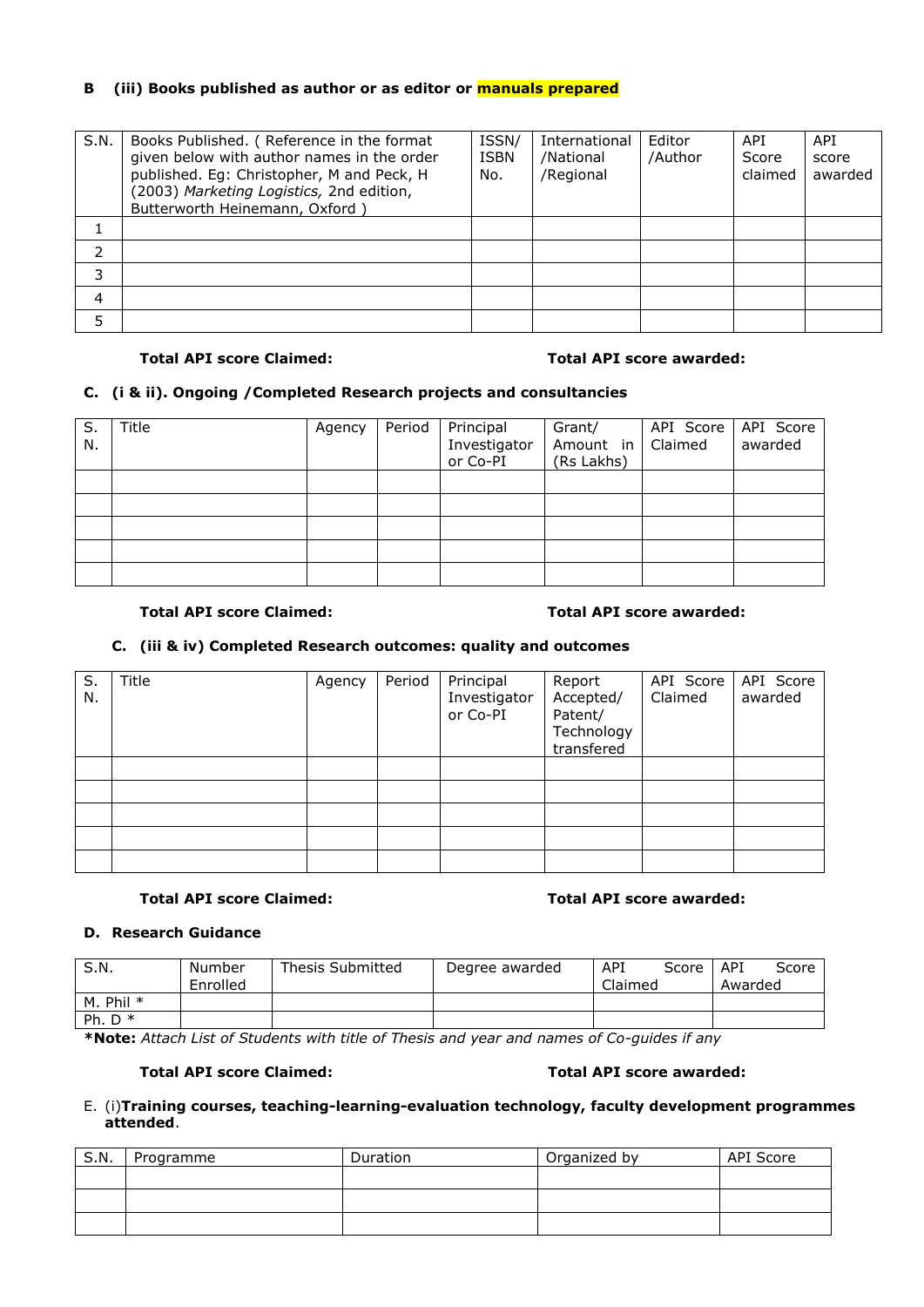## **B (iii) Books published as author or as editor or manuals prepared**

| S.N. | Books Published. (Reference in the format<br>given below with author names in the order<br>published. Eg: Christopher, M and Peck, H<br>(2003) Marketing Logistics, 2nd edition,<br>Butterworth Heinemann, Oxford) | ISSN/<br><b>ISBN</b><br>No. | International<br>/National<br>/Regional | Editor<br>/Author | API<br>Score<br>claimed | <b>API</b><br>score<br>awarded |
|------|--------------------------------------------------------------------------------------------------------------------------------------------------------------------------------------------------------------------|-----------------------------|-----------------------------------------|-------------------|-------------------------|--------------------------------|
|      |                                                                                                                                                                                                                    |                             |                                         |                   |                         |                                |
|      |                                                                                                                                                                                                                    |                             |                                         |                   |                         |                                |
| 3    |                                                                                                                                                                                                                    |                             |                                         |                   |                         |                                |
| 4    |                                                                                                                                                                                                                    |                             |                                         |                   |                         |                                |
| 5    |                                                                                                                                                                                                                    |                             |                                         |                   |                         |                                |

#### **Total API score Claimed: Total API score awarded:**

### **C. (i & ii). Ongoing /Completed Research projects and consultancies**

| S.<br>N. | Title | Agency | Period Principal<br>Investigator<br>or Co-PI | Grant/<br>Amount in   Claimed<br>(Rs Lakhs) | API Score   API Score | awarded |
|----------|-------|--------|----------------------------------------------|---------------------------------------------|-----------------------|---------|
|          |       |        |                                              |                                             |                       |         |
|          |       |        |                                              |                                             |                       |         |
|          |       |        |                                              |                                             |                       |         |
|          |       |        |                                              |                                             |                       |         |
|          |       |        |                                              |                                             |                       |         |

#### **Total API score Claimed: Total API score awarded:**

### **C. (iii & iv) Completed Research outcomes: quality and outcomes**

| S.<br>N. | Title | Agency | Period | Principal<br>Investigator<br>or Co-PI | Report<br>Accepted/<br>Patent/<br>Technology<br>transfered | API Score<br>Claimed | API Score<br>awarded |
|----------|-------|--------|--------|---------------------------------------|------------------------------------------------------------|----------------------|----------------------|
|          |       |        |        |                                       |                                                            |                      |                      |
|          |       |        |        |                                       |                                                            |                      |                      |
|          |       |        |        |                                       |                                                            |                      |                      |
|          |       |        |        |                                       |                                                            |                      |                      |
|          |       |        |        |                                       |                                                            |                      |                      |

#### **Total API score Claimed: Total API score awarded:**

#### **D. Research Guidance**

| S.N.        | Number<br>Enrolled | <b>Thesis Submitted</b> | Degree awarded | API<br>Score   API<br>Claimed | Score<br>Awarded |
|-------------|--------------------|-------------------------|----------------|-------------------------------|------------------|
| M. Phil $*$ |                    |                         |                |                               |                  |
| Ph. $D^*$   |                    |                         |                |                               |                  |

**\*Note:** *Attach List of Students with title of Thesis and year and names of Co-guides if any*

#### **Total API score Claimed: Total API score awarded:**

#### E. (i)**Training courses, teaching-learning-evaluation technology, faculty development programmes attended**.

| S.N. | Programme | Duration | Organized by | API Score |
|------|-----------|----------|--------------|-----------|
|      |           |          |              |           |
|      |           |          |              |           |
|      |           |          |              |           |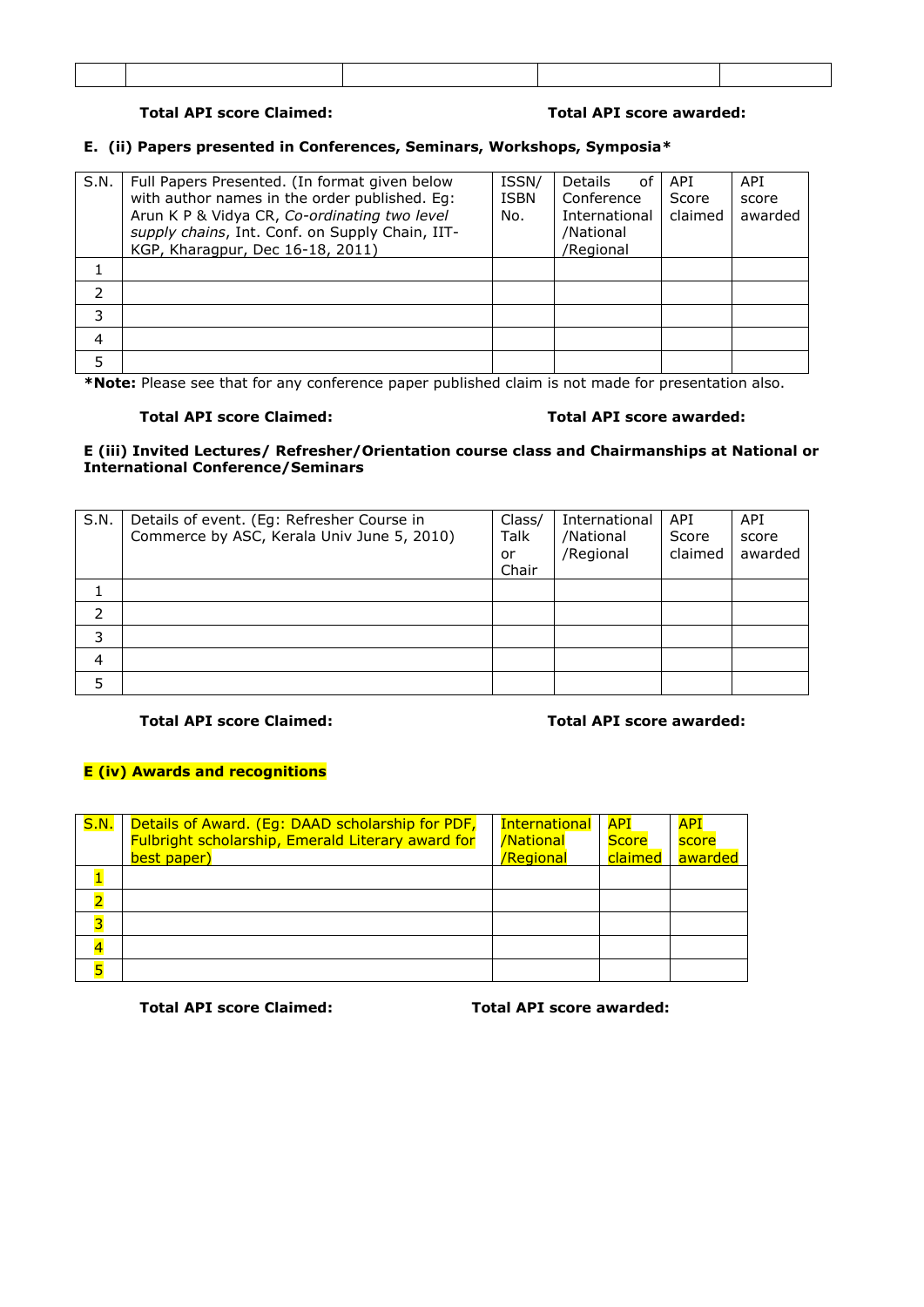## **Total API score Claimed: Total API score awarded:**

### **E. (ii) Papers presented in Conferences, Seminars, Workshops, Symposia\***

| S.N.          | Full Papers Presented. (In format given below<br>with author names in the order published. Eq:<br>Arun K P & Vidya CR, Co-ordinating two level<br>supply chains, Int. Conf. on Supply Chain, IIT-<br>KGP, Kharagpur, Dec 16-18, 2011) | ISSN/<br><b>ISBN</b><br>No. | <b>Details</b><br>of<br>Conference<br>International<br>/National<br>/Regional | API<br>Score<br>claimed | API<br>score<br>awarded |
|---------------|---------------------------------------------------------------------------------------------------------------------------------------------------------------------------------------------------------------------------------------|-----------------------------|-------------------------------------------------------------------------------|-------------------------|-------------------------|
|               |                                                                                                                                                                                                                                       |                             |                                                                               |                         |                         |
| $\mathcal{P}$ |                                                                                                                                                                                                                                       |                             |                                                                               |                         |                         |
| 3             |                                                                                                                                                                                                                                       |                             |                                                                               |                         |                         |
| 4             |                                                                                                                                                                                                                                       |                             |                                                                               |                         |                         |
| 5             |                                                                                                                                                                                                                                       |                             |                                                                               |                         |                         |

**\*Note:** Please see that for any conference paper published claim is not made for presentation also.

### **Total API score Claimed: Total API score awarded:**

### **E (iii) Invited Lectures/ Refresher/Orientation course class and Chairmanships at National or International Conference/Seminars**

| S.N. | Details of event. (Eg: Refresher Course in<br>Commerce by ASC, Kerala Univ June 5, 2010) | Class/<br>Talk<br>or<br>Chair | International<br>/National<br>/Regional | API<br>Score<br>claimed | API<br>score<br>awarded |
|------|------------------------------------------------------------------------------------------|-------------------------------|-----------------------------------------|-------------------------|-------------------------|
|      |                                                                                          |                               |                                         |                         |                         |
|      |                                                                                          |                               |                                         |                         |                         |
| 3    |                                                                                          |                               |                                         |                         |                         |
| 4    |                                                                                          |                               |                                         |                         |                         |
| 5    |                                                                                          |                               |                                         |                         |                         |

#### **Total API score Claimed: Total API score awarded:**

### **E (iv) Awards and recognitions**

| <b>S.N.</b> | Details of Award. (Eg: DAAD scholarship for PDF,<br>Fulbright scholarship, Emerald Literary award for<br>best paper) | <b>International</b><br>/National<br>/Regional | <b>API</b><br><b>Score</b><br>claimed | <b>API</b><br>score<br>awarded |
|-------------|----------------------------------------------------------------------------------------------------------------------|------------------------------------------------|---------------------------------------|--------------------------------|
|             |                                                                                                                      |                                                |                                       |                                |
|             |                                                                                                                      |                                                |                                       |                                |
|             |                                                                                                                      |                                                |                                       |                                |
|             |                                                                                                                      |                                                |                                       |                                |
| 5           |                                                                                                                      |                                                |                                       |                                |

**Total API score Claimed: Total API score awarded:**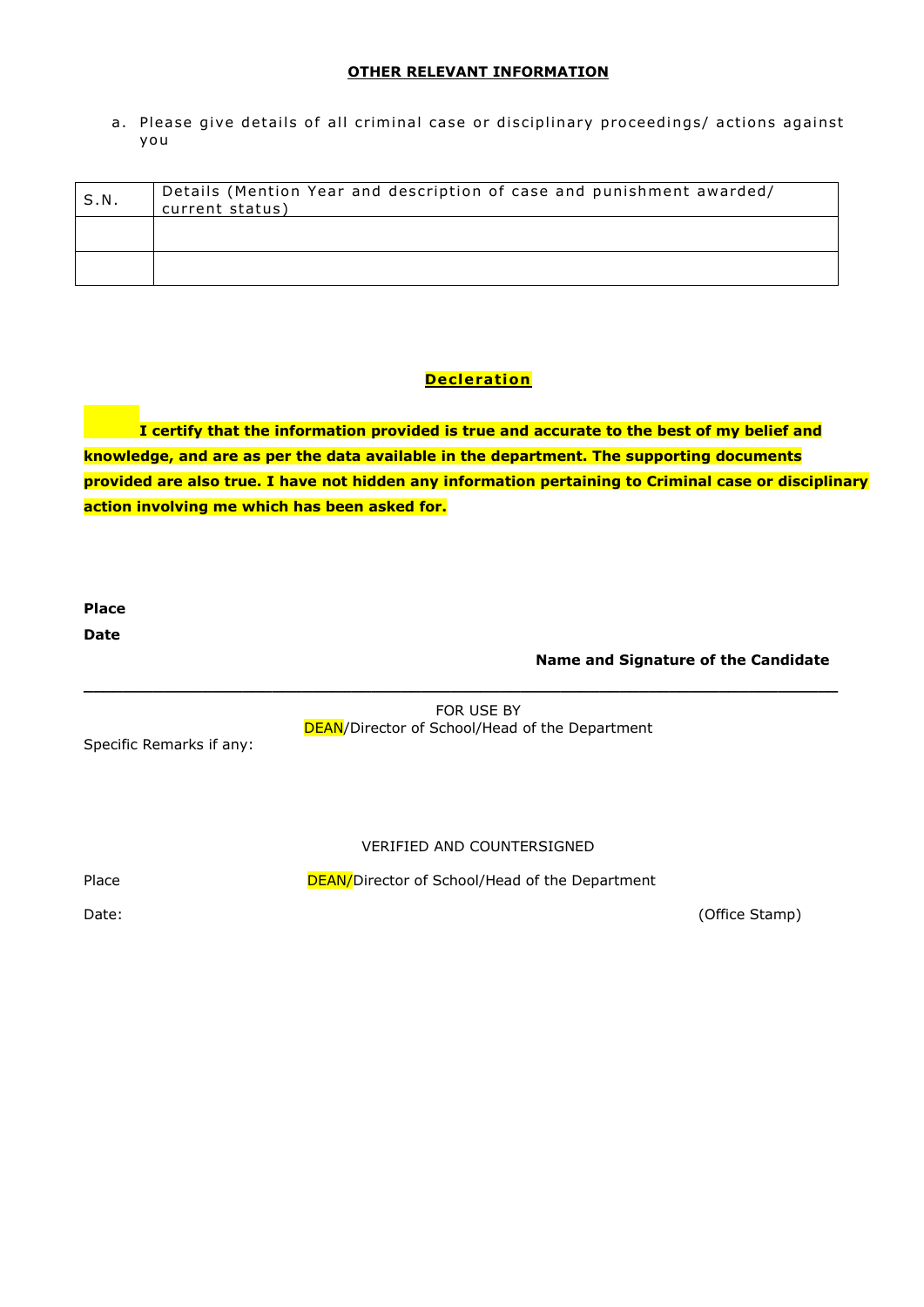## **OTHER RELEVANT INFORMATION**

a. Please give details of all criminal case or disciplinary proceedings/ actions against you

| S.N. | Details (Mention Year and description of case and punishment awarded/<br>current status) |
|------|------------------------------------------------------------------------------------------|
|      |                                                                                          |
|      |                                                                                          |

## **Decleration**

**I certify that the information provided is true and accurate to the best of my belief and knowledge, and are as per the data available in the department. The supporting documents provided are also true. I have not hidden any information pertaining to Criminal case or disciplinary action involving me which has been asked for.**

**Place Date**

**Name and Signature of the Candidate**

FOR USE BY DEAN/Director of School/Head of the Department

**\_\_\_\_\_\_\_\_\_\_\_\_\_\_\_\_\_\_\_\_\_\_\_\_\_\_\_\_\_\_\_\_\_\_\_\_\_\_\_\_\_\_\_\_\_\_\_\_\_\_\_\_\_\_\_\_\_\_\_\_\_\_\_\_\_\_\_\_\_\_\_\_\_\_\_\_**

Specific Remarks if any:

#### VERIFIED AND COUNTERSIGNED

Place DEAN/Director of School/Head of the Department

Date: (Office Stamp)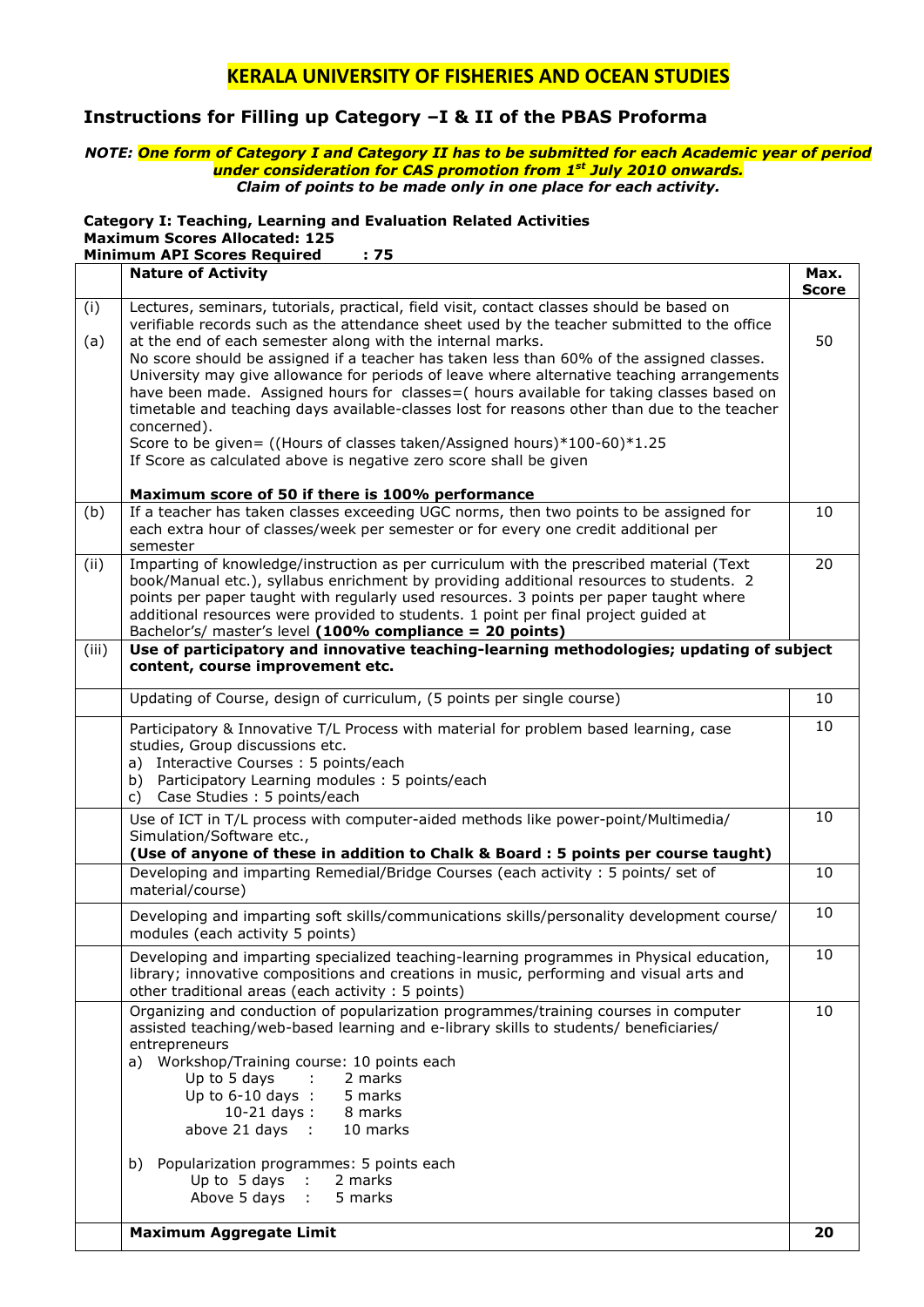## **Instructions for Filling up Category –I & II of the PBAS Proforma**

#### *NOTE: One form of Category I and Category II has to be submitted for each Academic year of period under consideration for CAS promotion from 1st July 2010 onwards. Claim of points to be made only in one place for each activity.*

## **Category I: Teaching, Learning and Evaluation Related Activities Maximum Scores Allocated: 125**

**Minimum API Scores Required : 75**

|       | <b>Nature of Activity</b>                                                                                                                                                                                                                                                                                                                                                                                                       | Max.<br><b>Score</b> |
|-------|---------------------------------------------------------------------------------------------------------------------------------------------------------------------------------------------------------------------------------------------------------------------------------------------------------------------------------------------------------------------------------------------------------------------------------|----------------------|
| (i)   | Lectures, seminars, tutorials, practical, field visit, contact classes should be based on                                                                                                                                                                                                                                                                                                                                       |                      |
| (a)   | verifiable records such as the attendance sheet used by the teacher submitted to the office<br>at the end of each semester along with the internal marks.                                                                                                                                                                                                                                                                       | 50                   |
|       | No score should be assigned if a teacher has taken less than 60% of the assigned classes.<br>University may give allowance for periods of leave where alternative teaching arrangements<br>have been made. Assigned hours for classes=( hours available for taking classes based on<br>timetable and teaching days available-classes lost for reasons other than due to the teacher<br>concerned).                              |                      |
|       | Score to be given= ((Hours of classes taken/Assigned hours)*100-60)*1.25<br>If Score as calculated above is negative zero score shall be given                                                                                                                                                                                                                                                                                  |                      |
|       | Maximum score of 50 if there is 100% performance                                                                                                                                                                                                                                                                                                                                                                                |                      |
| (b)   | If a teacher has taken classes exceeding UGC norms, then two points to be assigned for<br>each extra hour of classes/week per semester or for every one credit additional per<br>semester                                                                                                                                                                                                                                       | 10                   |
| (ii)  | Imparting of knowledge/instruction as per curriculum with the prescribed material (Text<br>book/Manual etc.), syllabus enrichment by providing additional resources to students. 2<br>points per paper taught with regularly used resources. 3 points per paper taught where<br>additional resources were provided to students. 1 point per final project guided at<br>Bachelor's/ master's level (100% compliance = 20 points) | 20                   |
| (iii) | Use of participatory and innovative teaching-learning methodologies; updating of subject<br>content, course improvement etc.                                                                                                                                                                                                                                                                                                    |                      |
|       | Updating of Course, design of curriculum, (5 points per single course)                                                                                                                                                                                                                                                                                                                                                          | 10                   |
|       | Participatory & Innovative T/L Process with material for problem based learning, case<br>studies, Group discussions etc.<br>a) Interactive Courses : 5 points/each<br>Participatory Learning modules: 5 points/each<br>b)<br>Case Studies: 5 points/each<br>C)                                                                                                                                                                  | 10                   |
|       | Use of ICT in T/L process with computer-aided methods like power-point/Multimedia/<br>Simulation/Software etc.,<br>(Use of anyone of these in addition to Chalk & Board : 5 points per course taught)                                                                                                                                                                                                                           | 10                   |
|       | Developing and imparting Remedial/Bridge Courses (each activity: 5 points/ set of<br>material/course)                                                                                                                                                                                                                                                                                                                           | 10                   |
|       | Developing and imparting soft skills/communications skills/personality development course/<br>modules (each activity 5 points)                                                                                                                                                                                                                                                                                                  | 10                   |
|       | Developing and imparting specialized teaching-learning programmes in Physical education,<br>library; innovative compositions and creations in music, performing and visual arts and<br>other traditional areas (each activity : 5 points)                                                                                                                                                                                       | 10                   |
|       | Organizing and conduction of popularization programmes/training courses in computer<br>assisted teaching/web-based learning and e-library skills to students/ beneficiaries/<br>entrepreneurs<br>a) Workshop/Training course: 10 points each<br>Up to 5 days<br>: 2 marks<br>Up to $6-10$ days : 5 marks<br>$10-21 \text{ days}:$ 8 marks<br>above 21 days : 10 marks<br>10 marks                                               | 10                   |
|       | Popularization programmes: 5 points each<br>b)<br>Up to $5$ days :<br>2 marks<br>Above 5 days :<br>5 marks                                                                                                                                                                                                                                                                                                                      |                      |
|       | <b>Maximum Aggregate Limit</b>                                                                                                                                                                                                                                                                                                                                                                                                  | 20                   |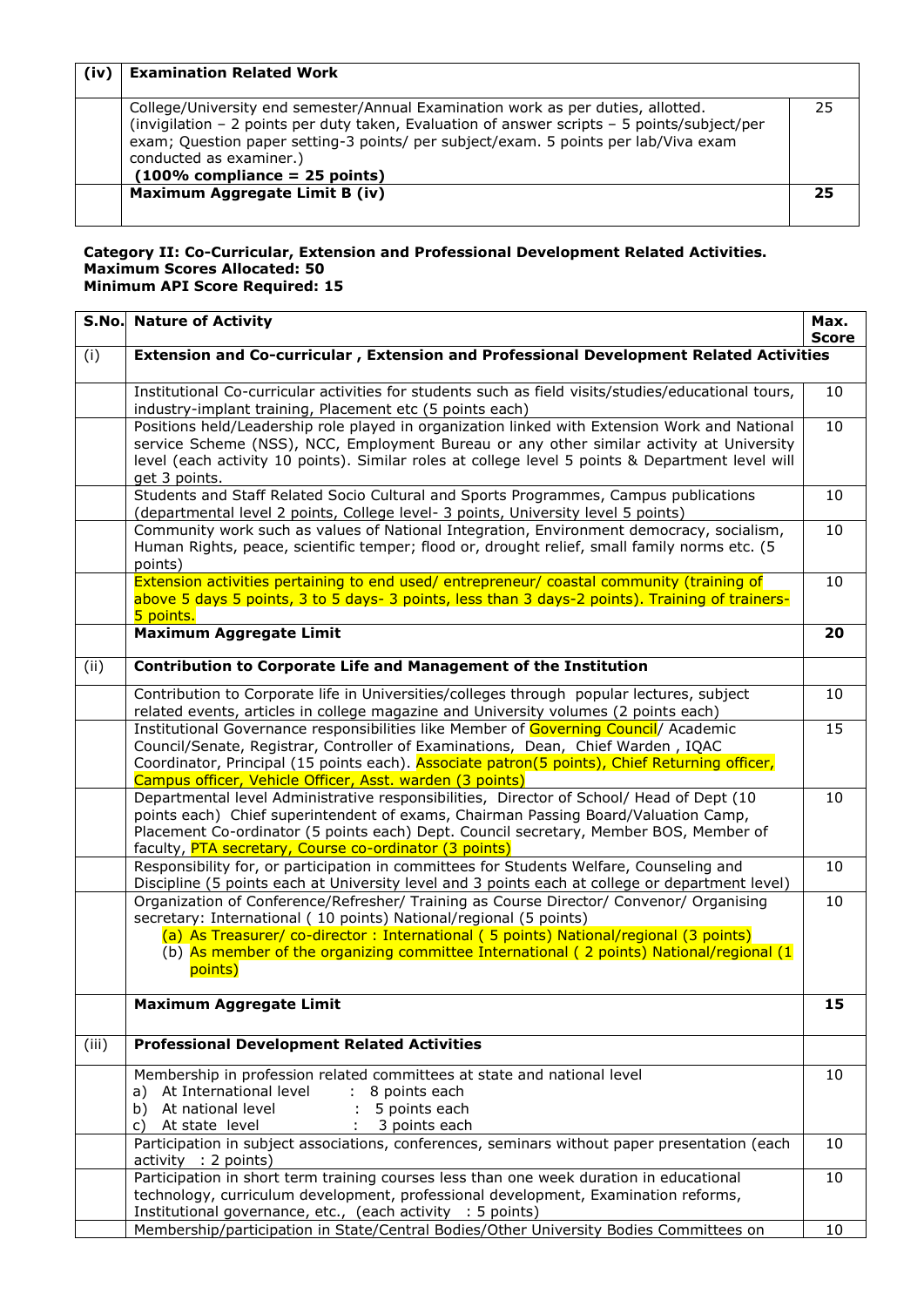| (iv) | <b>Examination Related Work</b>                                                                                                                                                                                                                                                                                                        |    |
|------|----------------------------------------------------------------------------------------------------------------------------------------------------------------------------------------------------------------------------------------------------------------------------------------------------------------------------------------|----|
|      | College/University end semester/Annual Examination work as per duties, allotted.<br>(invigilation - 2 points per duty taken, Evaluation of answer scripts - 5 points/subject/per<br>exam; Question paper setting-3 points/ per subject/exam. 5 points per lab/Viva exam<br>conducted as examiner.)<br>$(100\%$ compliance = 25 points) | 25 |
|      | Maximum Aggregate Limit B (iv)                                                                                                                                                                                                                                                                                                         | 25 |

#### **Category II: Co-Curricular, Extension and Professional Development Related Activities. Maximum Scores Allocated: 50 Minimum API Score Required: 15**

|       | <b>S.No.</b> Nature of Activity                                                                                                                                                                                                                                                                                                                            | Max.<br><b>Score</b> |
|-------|------------------------------------------------------------------------------------------------------------------------------------------------------------------------------------------------------------------------------------------------------------------------------------------------------------------------------------------------------------|----------------------|
| (i)   | Extension and Co-curricular, Extension and Professional Development Related Activities                                                                                                                                                                                                                                                                     |                      |
|       | Institutional Co-curricular activities for students such as field visits/studies/educational tours,<br>industry-implant training, Placement etc (5 points each)                                                                                                                                                                                            | 10                   |
|       | Positions held/Leadership role played in organization linked with Extension Work and National<br>service Scheme (NSS), NCC, Employment Bureau or any other similar activity at University<br>level (each activity 10 points). Similar roles at college level 5 points & Department level will<br>get 3 points.                                             | 10                   |
|       | Students and Staff Related Socio Cultural and Sports Programmes, Campus publications<br>(departmental level 2 points, College level- 3 points, University level 5 points)                                                                                                                                                                                  | 10                   |
|       | Community work such as values of National Integration, Environment democracy, socialism,<br>Human Rights, peace, scientific temper; flood or, drought relief, small family norms etc. (5<br>points)                                                                                                                                                        | 10                   |
|       | Extension activities pertaining to end used/ entrepreneur/ coastal community (training of<br>above 5 days 5 points, 3 to 5 days- 3 points, less than 3 days-2 points). Training of trainers-<br>5 points.                                                                                                                                                  | 10                   |
|       | <b>Maximum Aggregate Limit</b>                                                                                                                                                                                                                                                                                                                             | 20                   |
| (ii)  | <b>Contribution to Corporate Life and Management of the Institution</b>                                                                                                                                                                                                                                                                                    |                      |
|       | Contribution to Corporate life in Universities/colleges through popular lectures, subject<br>related events, articles in college magazine and University volumes (2 points each)                                                                                                                                                                           | 10                   |
|       | Institutional Governance responsibilities like Member of Governing Council / Academic<br>Council/Senate, Registrar, Controller of Examinations, Dean, Chief Warden, IQAC<br>Coordinator, Principal (15 points each). Associate patron(5 points), Chief Returning officer,<br>Campus officer, Vehicle Officer, Asst. warden (3 points)                      | 15                   |
|       | Departmental level Administrative responsibilities, Director of School/ Head of Dept (10<br>points each) Chief superintendent of exams, Chairman Passing Board/Valuation Camp,<br>Placement Co-ordinator (5 points each) Dept. Council secretary, Member BOS, Member of<br>faculty, PTA secretary, Course co-ordinator (3 points)                          | 10                   |
|       | Responsibility for, or participation in committees for Students Welfare, Counseling and<br>Discipline (5 points each at University level and 3 points each at college or department level)                                                                                                                                                                 | 10                   |
|       | Organization of Conference/Refresher/ Training as Course Director/ Convenor/ Organising<br>secretary: International (10 points) National/regional (5 points)<br>(a) As Treasurer/ co-director: International (5 points) National/regional (3 points)<br>(b) As member of the organizing committee International (2 points) National/regional (1<br>points) | 10                   |
|       | <b>Maximum Aggregate Limit</b>                                                                                                                                                                                                                                                                                                                             | 15                   |
| (iii) | <b>Professional Development Related Activities</b>                                                                                                                                                                                                                                                                                                         |                      |
|       | Membership in profession related committees at state and national level<br>At International level<br>÷.<br>8 points each<br>a)<br>At national level<br>5 points each<br>b)<br>At state level<br>3 points each<br>C)                                                                                                                                        | 10                   |
|       | Participation in subject associations, conferences, seminars without paper presentation (each<br>activity : 2 points)                                                                                                                                                                                                                                      | 10                   |
|       | Participation in short term training courses less than one week duration in educational<br>technology, curriculum development, professional development, Examination reforms,<br>Institutional governance, etc., (each activity : 5 points)                                                                                                                | 10                   |
|       | Membership/participation in State/Central Bodies/Other University Bodies Committees on                                                                                                                                                                                                                                                                     | 10                   |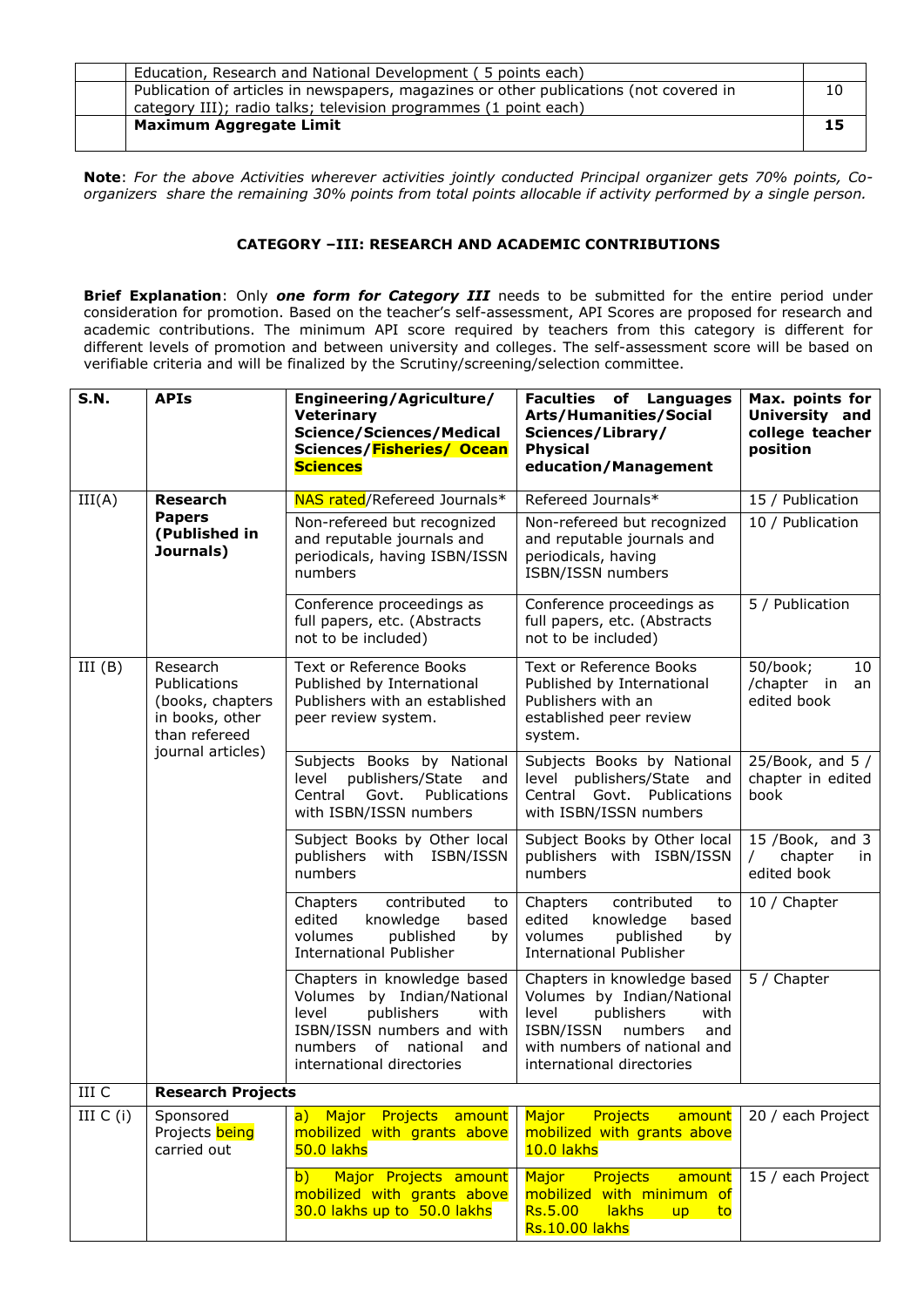| Education, Research and National Development (5 points each)                           |    |
|----------------------------------------------------------------------------------------|----|
| Publication of articles in newspapers, magazines or other publications (not covered in | 10 |
| category III); radio talks; television programmes (1 point each)                       |    |
| <b>Maximum Aggregate Limit</b>                                                         | 15 |
|                                                                                        |    |

**Note**: *For the above Activities wherever activities jointly conducted Principal organizer gets 70% points, Coorganizers share the remaining 30% points from total points allocable if activity performed by a single person.*

#### **CATEGORY –III: RESEARCH AND ACADEMIC CONTRIBUTIONS**

**Brief Explanation**: Only *one form for Category III* needs to be submitted for the entire period under consideration for promotion. Based on the teacher's self-assessment, API Scores are proposed for research and academic contributions. The minimum API score required by teachers from this category is different for different levels of promotion and between university and colleges. The self-assessment score will be based on verifiable criteria and will be finalized by the Scrutiny/screening/selection committee.

| <b>S.N.</b> | <b>APIs</b>                                                                                                  | Engineering/Agriculture/<br><b>Veterinary</b><br><b>Science/Sciences/Medical</b><br>Sciences/Fisheries/ Ocean<br><b>Sciences</b>                                                     | <b>Faculties of Languages</b><br>Arts/Humanities/Social<br>Sciences/Library/<br><b>Physical</b><br>education/Management                                                              | Max. points for<br>University and<br>college teacher<br>position |
|-------------|--------------------------------------------------------------------------------------------------------------|--------------------------------------------------------------------------------------------------------------------------------------------------------------------------------------|--------------------------------------------------------------------------------------------------------------------------------------------------------------------------------------|------------------------------------------------------------------|
| III(A)      | <b>Research</b><br><b>Papers</b><br>(Published in<br>Journals)                                               | NAS rated/Refereed Journals*                                                                                                                                                         | Refereed Journals*                                                                                                                                                                   | 15 / Publication                                                 |
|             |                                                                                                              | Non-refereed but recognized<br>and reputable journals and<br>periodicals, having ISBN/ISSN<br>numbers                                                                                | Non-refereed but recognized<br>and reputable journals and<br>periodicals, having<br>ISBN/ISSN numbers                                                                                | 10 / Publication                                                 |
|             |                                                                                                              | Conference proceedings as<br>full papers, etc. (Abstracts<br>not to be included)                                                                                                     | Conference proceedings as<br>full papers, etc. (Abstracts<br>not to be included)                                                                                                     | 5 / Publication                                                  |
| III(B)      | Research<br><b>Publications</b><br>(books, chapters<br>in books, other<br>than refereed<br>journal articles) | Text or Reference Books<br>Published by International<br>Publishers with an established<br>peer review system.                                                                       | Text or Reference Books<br>Published by International<br>Publishers with an<br>established peer review<br>system.                                                                    | 50/book;<br>10<br>/chapter in<br>an<br>edited book               |
|             |                                                                                                              | Subjects Books by National<br>publishers/State<br>level<br>and<br>Govt.<br>Central<br>Publications<br>with ISBN/ISSN numbers                                                         | Subjects Books by National<br>level publishers/State<br>and<br>Central Govt. Publications<br>with ISBN/ISSN numbers                                                                  | 25/Book, and $5/$<br>chapter in edited<br>book                   |
|             |                                                                                                              | Subject Books by Other local<br>publishers with ISBN/ISSN<br>numbers                                                                                                                 | Subject Books by Other local<br>publishers with ISBN/ISSN<br>numbers                                                                                                                 | 15 /Book, and 3<br>chapter<br>$\prime$<br>in<br>edited book      |
|             |                                                                                                              | contributed<br>Chapters<br>to<br>edited<br>knowledge<br>based<br>volumes<br>published<br>by<br><b>International Publisher</b>                                                        | Chapters<br>contributed<br>to<br>edited<br>knowledge<br>based<br>volumes<br>published<br>by<br><b>International Publisher</b>                                                        | 10 / Chapter                                                     |
|             |                                                                                                              | Chapters in knowledge based<br>Volumes by Indian/National<br>publishers<br>level<br>with<br>ISBN/ISSN numbers and with<br>of national<br>numbers<br>and<br>international directories | Chapters in knowledge based<br>Volumes by Indian/National<br>publishers<br>level<br>with<br>ISBN/ISSN<br>numbers<br>and<br>with numbers of national and<br>international directories | 5 / Chapter                                                      |
| III C       | <b>Research Projects</b>                                                                                     |                                                                                                                                                                                      |                                                                                                                                                                                      |                                                                  |
| III $C(i)$  | Sponsored<br>Projects being<br>carried out                                                                   | a) Major<br>Projects amount<br>mobilized with grants above<br>50.0 lakhs                                                                                                             | Major<br>Projects<br>amount<br>mobilized with grants above<br>10.0 lakhs                                                                                                             | 20 / each Project                                                |
|             |                                                                                                              | Major Projects amount<br>$\mathsf{b}$<br>mobilized with grants above<br>30.0 lakhs up to 50.0 lakhs                                                                                  | Major<br><b>Projects</b><br>amount<br>mobilized with minimum of<br>lakhs<br><b>Rs.5.00</b><br>up<br>to<br><b>Rs.10.00 lakhs</b>                                                      | 15 / each Project                                                |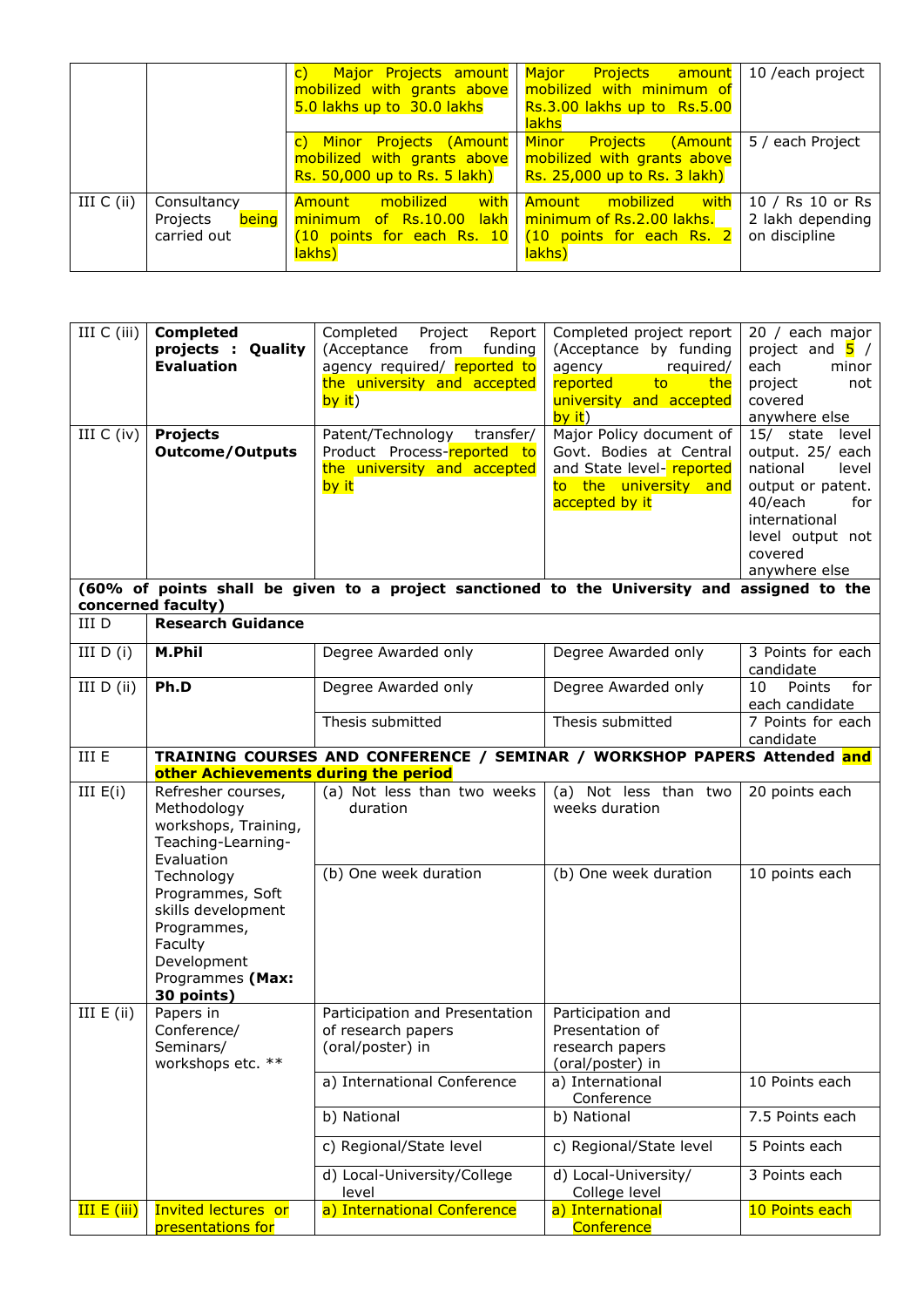|              |                                                 | $\mathsf{C}$<br>mobilized with grants above   mobilized with minimum of<br>5.0 lakhs up to 30.0 lakhs                                 | Major Projects amount Major Projects amount<br>Rs.3.00 lakhs up to Rs.5.00<br><b>lakhs</b>                         | 10 /each project                                      |
|--------------|-------------------------------------------------|---------------------------------------------------------------------------------------------------------------------------------------|--------------------------------------------------------------------------------------------------------------------|-------------------------------------------------------|
|              |                                                 | mobilized with grants above   mobilized with grants above<br><b>Rs.</b> 50,000 up to Rs. 5 lakh) $\vert$ Rs. 25,000 up to Rs. 3 lakh) | c) Minor Projects (Amount Minor Projects (Amount 5 / each Project                                                  |                                                       |
| III $C$ (ii) | Consultancy<br>being<br>Projects<br>carried out | with<br>mobilized<br>Amount<br>minimum of Rs.10.00<br>$(10$ points for each Rs. 10<br>lakhs)                                          | <mark>with</mark> l<br>Amount mobilized<br>lakh   minimum of Rs.2.00 lakhs.<br>(10 points for each Rs. 2<br>lakhs) | 10 / Rs 10 or Rs<br>2 lakh depending<br>on discipline |

| III $C$ (iii)<br>III $C$ (iv) | <b>Completed</b><br>projects : Quality<br><b>Evaluation</b><br><b>Projects</b><br><b>Outcome/Outputs</b>                        | Completed<br>Project<br>Report<br>(Acceptance<br>from<br>funding<br>agency required/ reported to<br>the university and accepted<br>by it)<br>Patent/Technology<br>transfer/<br>Product Process-reported to<br>the university and accepted<br>by it<br>(60% of points shall be given to a project sanctioned to the University and assigned to the | Completed project report<br>(Acceptance by funding<br>agency<br>required/<br>to<br>reported<br>the<br>university and accepted<br>by it)<br>Major Policy document of<br>Govt. Bodies at Central<br>and State level- reported<br>to the university and<br>accepted by it | 20 / each major<br>project and $\overline{5}$ /<br>each<br>minor<br>project<br>not<br>covered<br>anywhere else<br>15/ state<br>level<br>output. 25/ each<br>national<br>level<br>output or patent.<br>40/each<br>for<br>international<br>level output not<br>covered<br>anywhere else |
|-------------------------------|---------------------------------------------------------------------------------------------------------------------------------|---------------------------------------------------------------------------------------------------------------------------------------------------------------------------------------------------------------------------------------------------------------------------------------------------------------------------------------------------|------------------------------------------------------------------------------------------------------------------------------------------------------------------------------------------------------------------------------------------------------------------------|---------------------------------------------------------------------------------------------------------------------------------------------------------------------------------------------------------------------------------------------------------------------------------------|
| III D                         | concerned faculty)<br><b>Research Guidance</b>                                                                                  |                                                                                                                                                                                                                                                                                                                                                   |                                                                                                                                                                                                                                                                        |                                                                                                                                                                                                                                                                                       |
| III $D(i)$                    | M.Phil                                                                                                                          | Degree Awarded only                                                                                                                                                                                                                                                                                                                               | Degree Awarded only                                                                                                                                                                                                                                                    | 3 Points for each<br>candidate                                                                                                                                                                                                                                                        |
| III $D$ (ii)                  | Ph.D                                                                                                                            | Degree Awarded only                                                                                                                                                                                                                                                                                                                               | Degree Awarded only                                                                                                                                                                                                                                                    | Points<br>10<br>for<br>each candidate                                                                                                                                                                                                                                                 |
|                               |                                                                                                                                 | Thesis submitted                                                                                                                                                                                                                                                                                                                                  | Thesis submitted                                                                                                                                                                                                                                                       | 7 Points for each<br>candidate                                                                                                                                                                                                                                                        |
| III E                         | other Achievements during the period                                                                                            | TRAINING COURSES AND CONFERENCE / SEMINAR / WORKSHOP PAPERS Attended and                                                                                                                                                                                                                                                                          |                                                                                                                                                                                                                                                                        |                                                                                                                                                                                                                                                                                       |
| III $E(i)$                    | Refresher courses,<br>Methodology<br>workshops, Training,<br>Teaching-Learning-<br>Evaluation                                   | (a) Not less than two weeks<br>duration                                                                                                                                                                                                                                                                                                           | (a) Not less than two<br>weeks duration                                                                                                                                                                                                                                | 20 points each                                                                                                                                                                                                                                                                        |
|                               | Technology<br>Programmes, Soft<br>skills development<br>Programmes,<br>Faculty<br>Development<br>Programmes (Max:<br>30 points) | (b) One week duration                                                                                                                                                                                                                                                                                                                             | (b) One week duration                                                                                                                                                                                                                                                  | 10 points each                                                                                                                                                                                                                                                                        |
| III $E$ (ii)                  | Papers in<br>Conference/<br>Seminars/<br>workshops etc. **                                                                      | Participation and Presentation   Participation and<br>of research papers<br>(oral/poster) in                                                                                                                                                                                                                                                      | Presentation of<br>research papers<br>(oral/poster) in                                                                                                                                                                                                                 |                                                                                                                                                                                                                                                                                       |
|                               |                                                                                                                                 | a) International Conference                                                                                                                                                                                                                                                                                                                       | a) International<br>Conference                                                                                                                                                                                                                                         | 10 Points each                                                                                                                                                                                                                                                                        |
|                               |                                                                                                                                 | b) National                                                                                                                                                                                                                                                                                                                                       | b) National                                                                                                                                                                                                                                                            | 7.5 Points each                                                                                                                                                                                                                                                                       |
|                               |                                                                                                                                 | c) Regional/State level                                                                                                                                                                                                                                                                                                                           | c) Regional/State level                                                                                                                                                                                                                                                | 5 Points each                                                                                                                                                                                                                                                                         |
|                               |                                                                                                                                 | d) Local-University/College<br>level                                                                                                                                                                                                                                                                                                              | d) Local-University/<br>College level                                                                                                                                                                                                                                  | 3 Points each                                                                                                                                                                                                                                                                         |
| III E (iii)                   | <b>Invited lectures or</b><br>presentations for                                                                                 | a) International Conference                                                                                                                                                                                                                                                                                                                       | a) International<br>Conference                                                                                                                                                                                                                                         | 10 Points each                                                                                                                                                                                                                                                                        |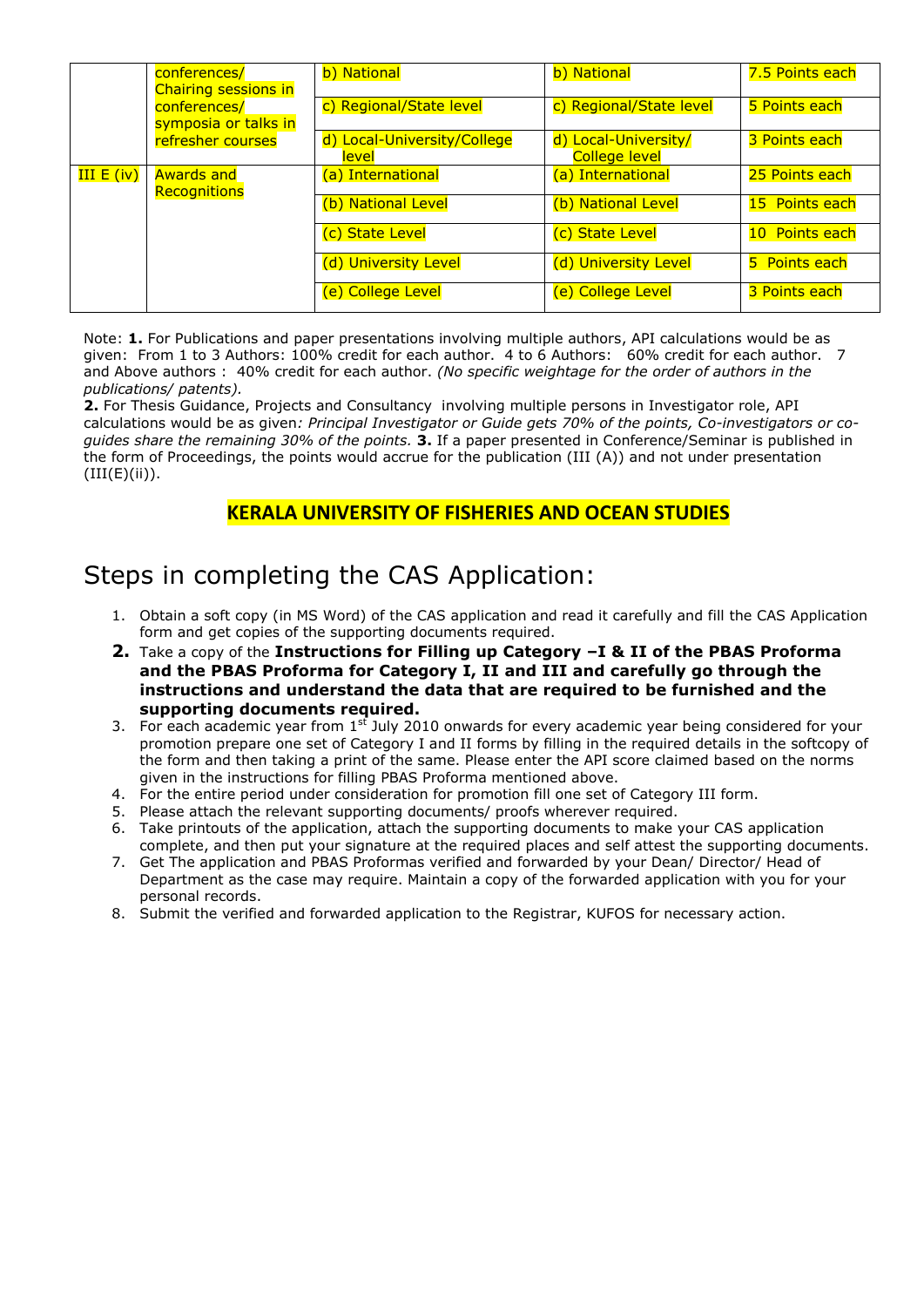|                   | conferences/<br>Chairing sessions in | b) National                          | b) National                                  | 7.5 Points each |
|-------------------|--------------------------------------|--------------------------------------|----------------------------------------------|-----------------|
|                   | conferences/<br>symposia or talks in | c) Regional/State level              | c) Regional/State level                      | 5 Points each   |
|                   | refresher courses                    | d) Local-University/College<br>level | d) Local-University/<br><b>College level</b> | 3 Points each   |
| <b>III E (iv)</b> | <b>Awards and</b>                    | (a) International                    | (a) International                            | 25 Points each  |
|                   | Recognitions                         | (b) National Level                   | (b) National Level                           | 15 Points each  |
|                   |                                      | (c) State Level                      | (c) State Level                              | 10 Points each  |
|                   |                                      | (d) University Level                 | (d) University Level                         | 5 Points each   |
|                   |                                      | (e) College Level                    | (e) College Level                            | 3 Points each   |

Note: **1.** For Publications and paper presentations involving multiple authors, API calculations would be as given: From 1 to 3 Authors: 100% credit for each author. 4 to 6 Authors: 60% credit for each author. 7 and Above authors : 40% credit for each author. *(No specific weightage for the order of authors in the publications/ patents).*

**2.** For Thesis Guidance, Projects and Consultancy involving multiple persons in Investigator role, API calculations would be as given*: Principal Investigator or Guide gets 70% of the points, Co-investigators or coguides share the remaining 30% of the points.* **3.** If a paper presented in Conference/Seminar is published in the form of Proceedings, the points would accrue for the publication (III (A)) and not under presentation  $(III(E)(ii)).$ 

## **KERALA UNIVERSITY OF FISHERIES AND OCEAN STUDIES**

# Steps in completing the CAS Application:

- 1. Obtain a soft copy (in MS Word) of the CAS application and read it carefully and fill the CAS Application form and get copies of the supporting documents required.
- **2.** Take a copy of the **Instructions for Filling up Category –I & II of the PBAS Proforma and the PBAS Proforma for Category I, II and III and carefully go through the instructions and understand the data that are required to be furnished and the supporting documents required.**
- 3. For each academic year from  $1^{st}$  July 2010 onwards for every academic year being considered for your promotion prepare one set of Category I and II forms by filling in the required details in the softcopy of the form and then taking a print of the same. Please enter the API score claimed based on the norms given in the instructions for filling PBAS Proforma mentioned above.
- 4. For the entire period under consideration for promotion fill one set of Category III form.
- 5. Please attach the relevant supporting documents/ proofs wherever required.
- 6. Take printouts of the application, attach the supporting documents to make your CAS application complete, and then put your signature at the required places and self attest the supporting documents.
- 7. Get The application and PBAS Proformas verified and forwarded by your Dean/ Director/ Head of Department as the case may require. Maintain a copy of the forwarded application with you for your personal records.
- 8. Submit the verified and forwarded application to the Registrar, KUFOS for necessary action.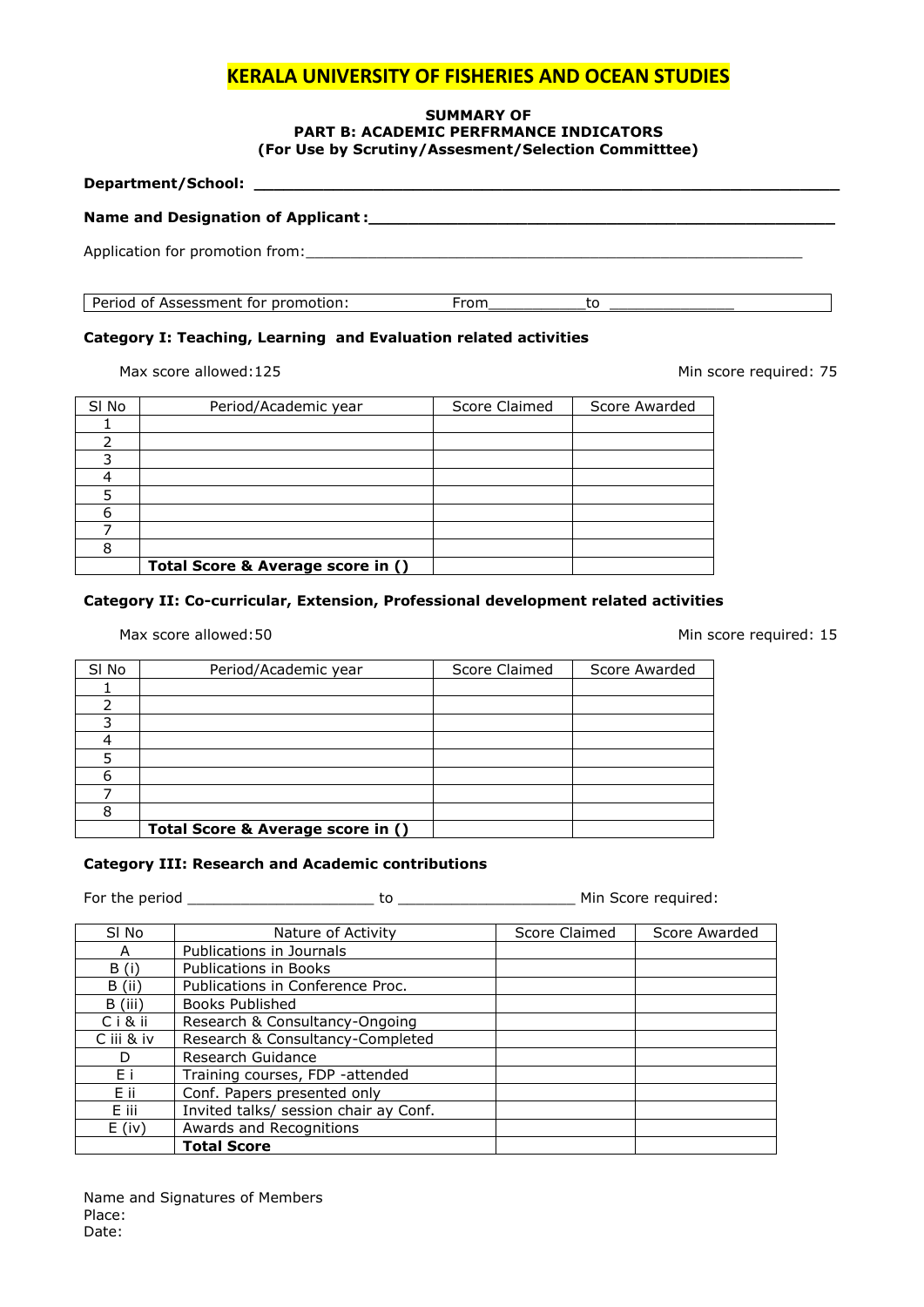#### **SUMMARY OF PART B: ACADEMIC PERFRMANCE INDICATORS (For Use by Scrutiny/Assesment/Selection Committtee)**

| Period of Assessment for promotion: | From |  |
|-------------------------------------|------|--|

### **Category I: Teaching, Learning and Evaluation related activities**

Max score allowed:125 Min score required: 75

| SI No | Period/Academic year              | Score Claimed | Score Awarded |
|-------|-----------------------------------|---------------|---------------|
|       |                                   |               |               |
|       |                                   |               |               |
|       |                                   |               |               |
|       |                                   |               |               |
|       |                                   |               |               |
|       |                                   |               |               |
|       |                                   |               |               |
|       |                                   |               |               |
|       | Total Score & Average score in () |               |               |
|       |                                   |               |               |

#### **Category II: Co-curricular, Extension, Professional development related activities**

#### Max score allowed:50 Min score required: 15

| SI No | Period/Academic year              | Score Claimed | Score Awarded |
|-------|-----------------------------------|---------------|---------------|
|       |                                   |               |               |
|       |                                   |               |               |
|       |                                   |               |               |
|       |                                   |               |               |
|       |                                   |               |               |
| 6     |                                   |               |               |
|       |                                   |               |               |
|       |                                   |               |               |
|       | Total Score & Average score in () |               |               |

### **Category III: Research and Academic contributions**

For the period \_\_\_\_\_\_\_\_\_\_\_\_\_\_\_\_\_\_\_\_\_ to \_\_\_\_\_\_\_\_\_\_\_\_\_\_\_\_\_\_\_\_ Min Score required:

| SI No      | Nature of Activity                    | Score Claimed | Score Awarded |
|------------|---------------------------------------|---------------|---------------|
| A          | Publications in Journals              |               |               |
| B(i)       | <b>Publications in Books</b>          |               |               |
| $B$ (ii)   | Publications in Conference Proc.      |               |               |
| B (iii)    | Books Published                       |               |               |
| Ciⅈ        | Research & Consultancy-Ongoing        |               |               |
| C iii & iv | Research & Consultancy-Completed      |               |               |
| D          | Research Guidance                     |               |               |
| Fi         | Training courses, FDP -attended       |               |               |
| Eii        | Conf. Papers presented only           |               |               |
| E iii      | Invited talks/ session chair ay Conf. |               |               |
| $E$ (iv)   | Awards and Recognitions               |               |               |
|            | <b>Total Score</b>                    |               |               |